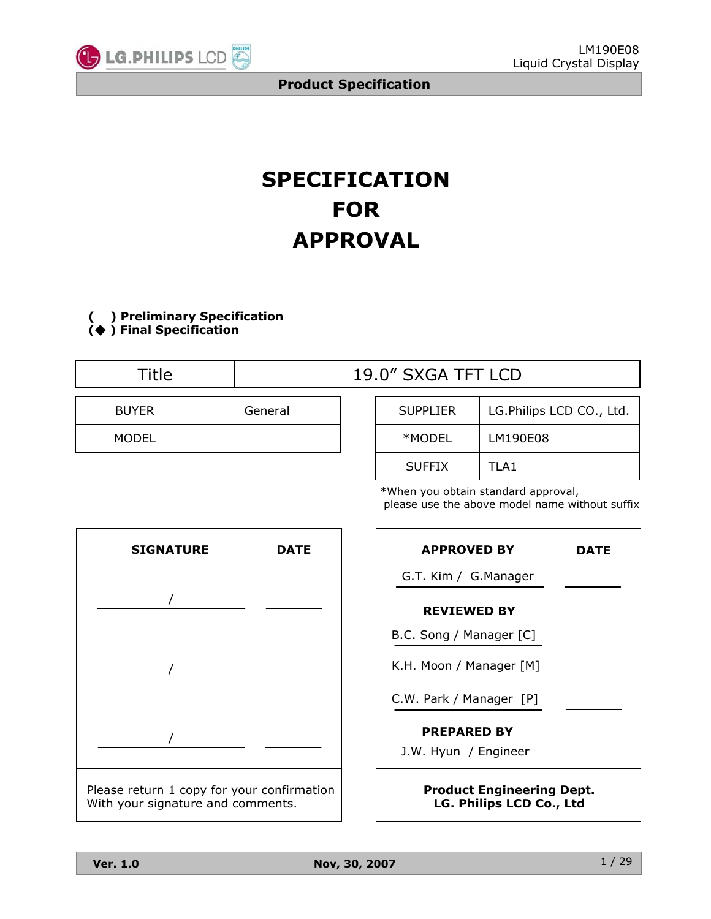

# **SPECIFICATION FOR APPROVAL**

**( ) Preliminary Specification ( ) Final Specification**

| Title        |         |  | 19.0" SXGA TFT LCD |                |  |  |  |  |
|--------------|---------|--|--------------------|----------------|--|--|--|--|
| <b>BUYER</b> | General |  | <b>SUPPLIER</b>    | LG.Philips LCD |  |  |  |  |
| MODEL        |         |  | *MODEL             | LM190E08       |  |  |  |  |

| <b>SUPPLIER</b> | LG.Philips LCD CO., Ltd. |
|-----------------|--------------------------|
| *MODEL          | LM190E08                 |
| <b>SUFFIX</b>   | TLA <sub>1</sub>         |

\*When you obtain standard approval, please use the above model name without suffix



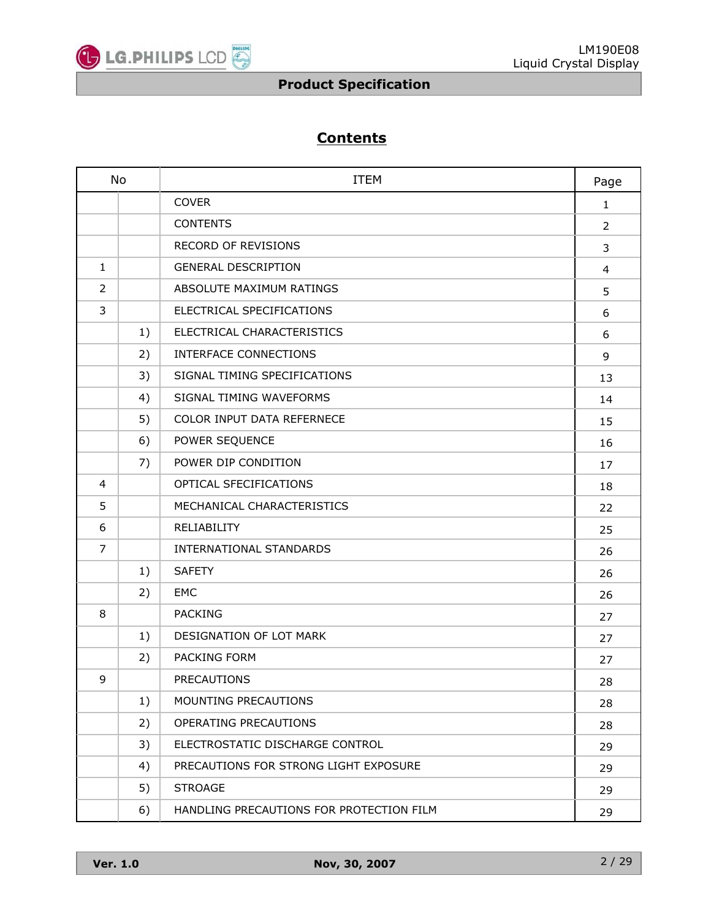

# **Contents**

| <b>No</b>      |    | <b>ITEM</b>                              |    |
|----------------|----|------------------------------------------|----|
|                |    | <b>COVER</b>                             | 1  |
|                |    | <b>CONTENTS</b>                          | 2  |
|                |    | <b>RECORD OF REVISIONS</b>               | 3  |
| $\mathbf{1}$   |    | <b>GENERAL DESCRIPTION</b>               | 4  |
| $\overline{2}$ |    | ABSOLUTE MAXIMUM RATINGS                 | 5  |
| 3              |    | ELECTRICAL SPECIFICATIONS                | 6  |
|                | 1) | ELECTRICAL CHARACTERISTICS               | 6  |
|                | 2) | INTERFACE CONNECTIONS                    | 9  |
|                | 3) | SIGNAL TIMING SPECIFICATIONS             | 13 |
|                | 4) | SIGNAL TIMING WAVEFORMS                  | 14 |
|                | 5) | COLOR INPUT DATA REFERNECE               | 15 |
|                | 6) | POWER SEQUENCE                           | 16 |
|                | 7) | POWER DIP CONDITION                      | 17 |
| 4              |    | OPTICAL SFECIFICATIONS                   | 18 |
| 5              |    | MECHANICAL CHARACTERISTICS               | 22 |
| 6              |    | RELIABILITY                              | 25 |
| 7              |    | INTERNATIONAL STANDARDS                  | 26 |
|                | 1) | <b>SAFETY</b>                            | 26 |
|                | 2) | EMC                                      | 26 |
| 8              |    | <b>PACKING</b>                           | 27 |
|                | 1) | DESIGNATION OF LOT MARK                  | 27 |
|                | 2) | <b>PACKING FORM</b>                      | 27 |
| 9              |    | <b>PRECAUTIONS</b>                       | 28 |
|                | 1) | MOUNTING PRECAUTIONS                     | 28 |
|                | 2) | OPERATING PRECAUTIONS                    | 28 |
|                | 3) | ELECTROSTATIC DISCHARGE CONTROL          | 29 |
|                | 4) | PRECAUTIONS FOR STRONG LIGHT EXPOSURE    | 29 |
|                | 5) | <b>STROAGE</b>                           | 29 |
|                | 6) | HANDLING PRECAUTIONS FOR PROTECTION FILM | 29 |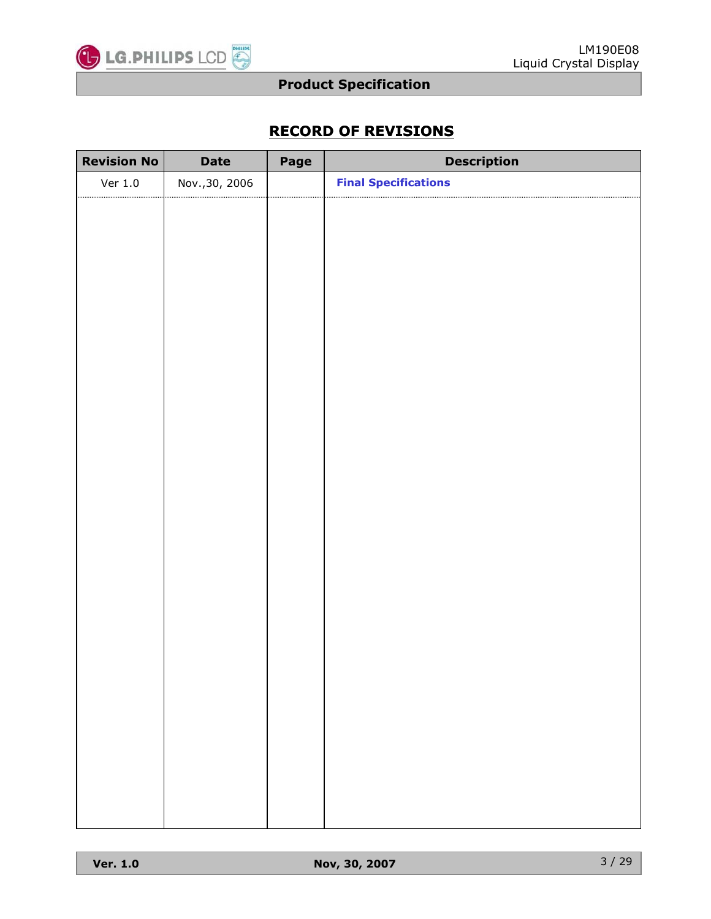

# **RECORD OF REVISIONS**

| <b>Revision No</b> | <b>Date</b>    | Page | <b>Description</b>          |
|--------------------|----------------|------|-----------------------------|
| Ver $1.0$          | Nov., 30, 2006 |      | <b>Final Specifications</b> |
|                    |                |      |                             |
|                    |                |      |                             |
|                    |                |      |                             |
|                    |                |      |                             |
|                    |                |      |                             |
|                    |                |      |                             |
|                    |                |      |                             |
|                    |                |      |                             |
|                    |                |      |                             |
|                    |                |      |                             |
|                    |                |      |                             |
|                    |                |      |                             |
|                    |                |      |                             |
|                    |                |      |                             |
|                    |                |      |                             |
|                    |                |      |                             |
|                    |                |      |                             |
|                    |                |      |                             |
|                    |                |      |                             |
|                    |                |      |                             |
|                    |                |      |                             |
|                    |                |      |                             |
|                    |                |      |                             |
|                    |                |      |                             |
|                    |                |      |                             |
|                    |                |      |                             |
|                    |                |      |                             |
|                    |                |      |                             |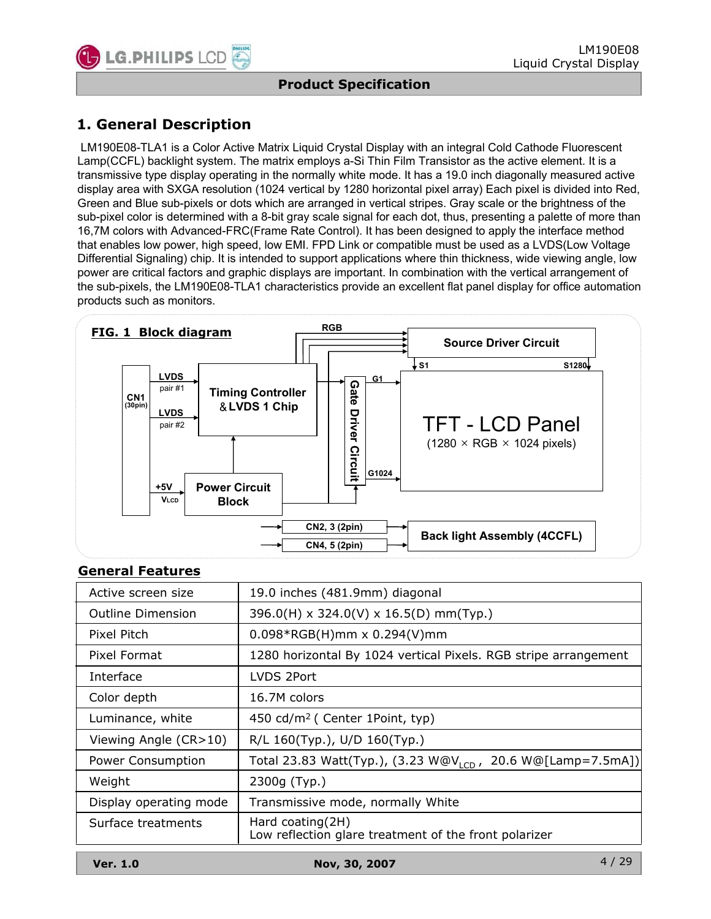

# **1. General Description**

LM190E08-TLA1 is a Color Active Matrix Liquid Crystal Display with an integral Cold Cathode Fluorescent Lamp(CCFL) backlight system. The matrix employs a-Si Thin Film Transistor as the active element. It is a transmissive type display operating in the normally white mode. It has a 19.0 inch diagonally measured active display area with SXGA resolution (1024 vertical by 1280 horizontal pixel array) Each pixel is divided into Red, Green and Blue sub-pixels or dots which are arranged in vertical stripes. Gray scale or the brightness of the sub-pixel color is determined with a 8-bit gray scale signal for each dot, thus, presenting a palette of more than 16,7M colors with Advanced-FRC(Frame Rate Control). It has been designed to apply the interface method that enables low power, high speed, low EMI. FPD Link or compatible must be used as a LVDS(Low Voltage Differential Signaling) chip. It is intended to support applications where thin thickness, wide viewing angle, low power are critical factors and graphic displays are important. In combination with the vertical arrangement of the sub-pixels, the LM190E08-TLA1 characteristics provide an excellent flat panel display for office automation products such as monitors.



#### **General Features**

| Active screen size       | 19.0 inches (481.9mm) diagonal                                               |
|--------------------------|------------------------------------------------------------------------------|
| <b>Outline Dimension</b> | 396.0(H) x 324.0(V) x 16.5(D) mm(Typ.)                                       |
| Pixel Pitch              | $0.098*RGB(H)$ mm x $0.294(V)$ mm                                            |
| Pixel Format             | 1280 horizontal By 1024 vertical Pixels. RGB stripe arrangement              |
| Interface                | LVDS 2Port                                                                   |
| Color depth              | 16.7M colors                                                                 |
| Luminance, white         | 450 cd/m <sup>2</sup> ( Center 1Point, typ)                                  |
| Viewing Angle (CR>10)    | R/L 160(Typ.), U/D 160(Typ.)                                                 |
| Power Consumption        | 20.6 W@[Lamp=7.5mA])<br>Total 23.83 Watt(Typ.), (3.23 W@V <sub>1CD,</sub>    |
| Weight                   | 2300g (Typ.)                                                                 |
| Display operating mode   | Transmissive mode, normally White                                            |
| Surface treatments       | Hard coating $(2H)$<br>Low reflection glare treatment of the front polarizer |
|                          |                                                                              |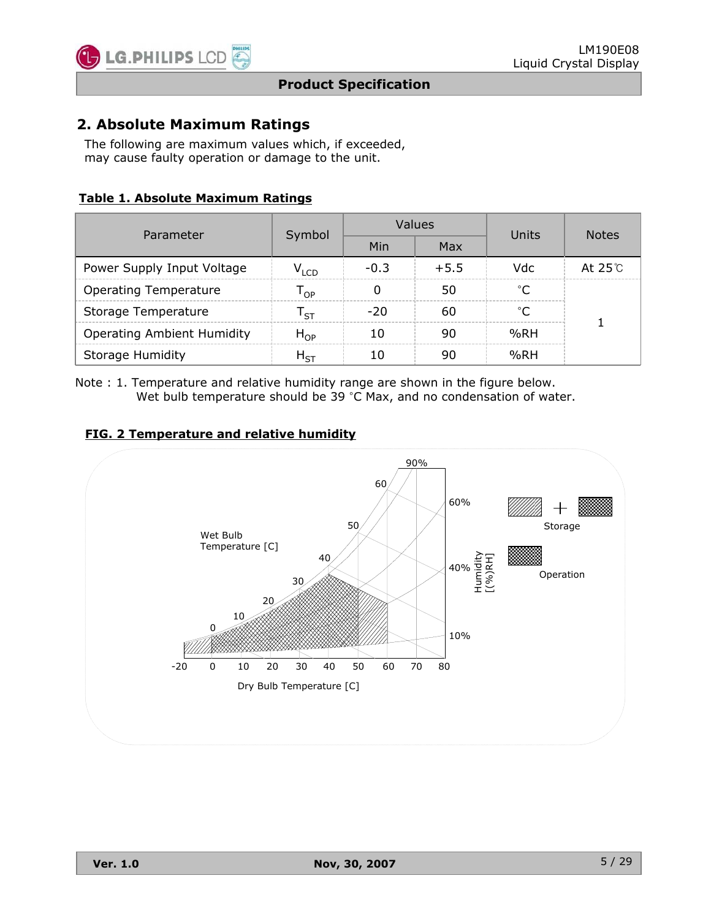

### **2. Absolute Maximum Ratings**

The following are maximum values which, if exceeded, may cause faulty operation or damage to the unit.

#### **Table 1. Absolute Maximum Ratings**

| Parameter                         |                            |        | Values | Units        | <b>Notes</b>  |  |
|-----------------------------------|----------------------------|--------|--------|--------------|---------------|--|
|                                   | Symbol                     | Min    | Max    |              |               |  |
| Power Supply Input Voltage        | $V_{LCD}$                  | $-0.3$ | $+5.5$ | Vdc          | At $25^\circ$ |  |
| <b>Operating Temperature</b>      | $\mathsf{r}_{\mathsf{op}}$ | 0      | 50     | $^{\circ}$ C |               |  |
| Storage Temperature               | ا ج                        | -20    | 60     | $^{\circ}C$  |               |  |
| <b>Operating Ambient Humidity</b> | $H_{OP}$                   | 10     | 90     | %RH          |               |  |
| Storage Humidity                  | ${\sf H}_{\sf ST}$         | 10     | 90     | %RH          |               |  |

Note : 1. Temperature and relative humidity range are shown in the figure below. Wet bulb temperature should be 39  $^{\circ}$ C Max, and no condensation of water.

#### **FIG. 2 Temperature and relative humidity**

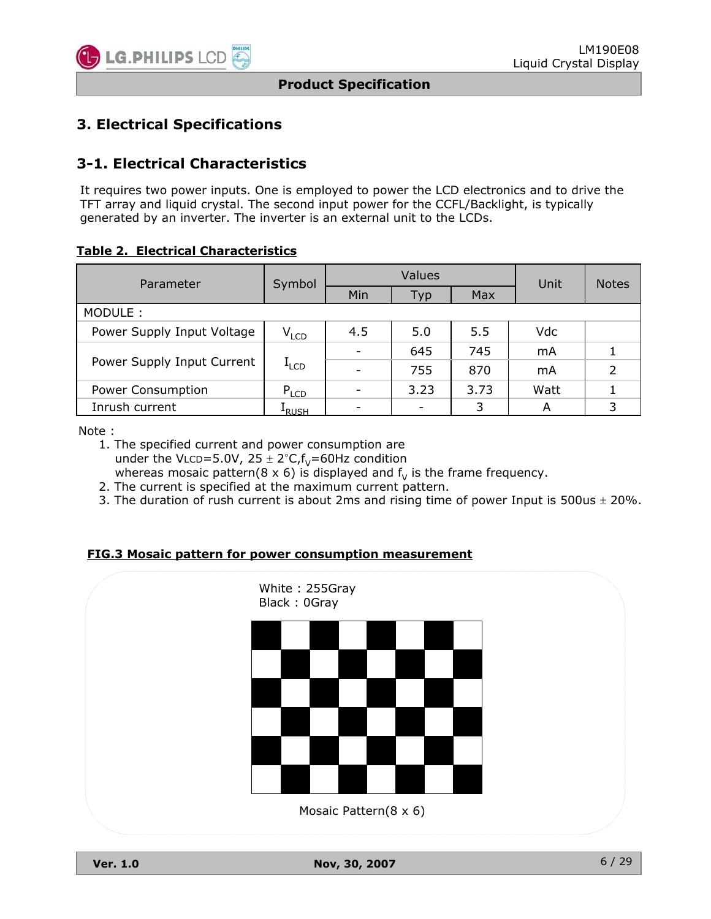

# **3. Electrical Specifications**

### **3-1. Electrical Characteristics**

It requires two power inputs. One is employed to power the LCD electronics and to drive the TFT array and liquid crystal. The second input power for the CCFL/Backlight, is typically generated by an inverter. The inverter is an external unit to the LCDs.

**Table 2. Electrical Characteristics**

| Parameter                  | Symbol            |     | Values | Unit | <b>Notes</b> |   |
|----------------------------|-------------------|-----|--------|------|--------------|---|
|                            |                   | Min | Typ    | Max  |              |   |
| MODULE:                    |                   |     |        |      |              |   |
| Power Supply Input Voltage | $V_{LCD}$         | 4.5 | 5.0    | 5.5  | Vdc          |   |
|                            | $I_{LCD}$         |     | 645    | 745  | mA           |   |
| Power Supply Input Current |                   |     | 755    | 870  | mA           | 2 |
| <b>Power Consumption</b>   | $P_{LCD}$         |     | 3.23   | 3.73 | Watt         |   |
| Inrush current             | <sup>1</sup> RUSH |     |        | 3    | A            | 3 |

Note :

- 1. The specified current and power consumption are under the VLCD=5.0V,  $25 \pm 2^{\circ}C$ ,  $f_v$ =60Hz condition whereas mosaic pattern(8 x 6) is displayed and  $f<sub>V</sub>$  is the frame frequency.
- 2. The current is specified at the maximum current pattern.
- 3. The duration of rush current is about 2ms and rising time of power Input is 500us  $\pm$  20%.

**FIG.3 Mosaic pattern for power consumption measurement**

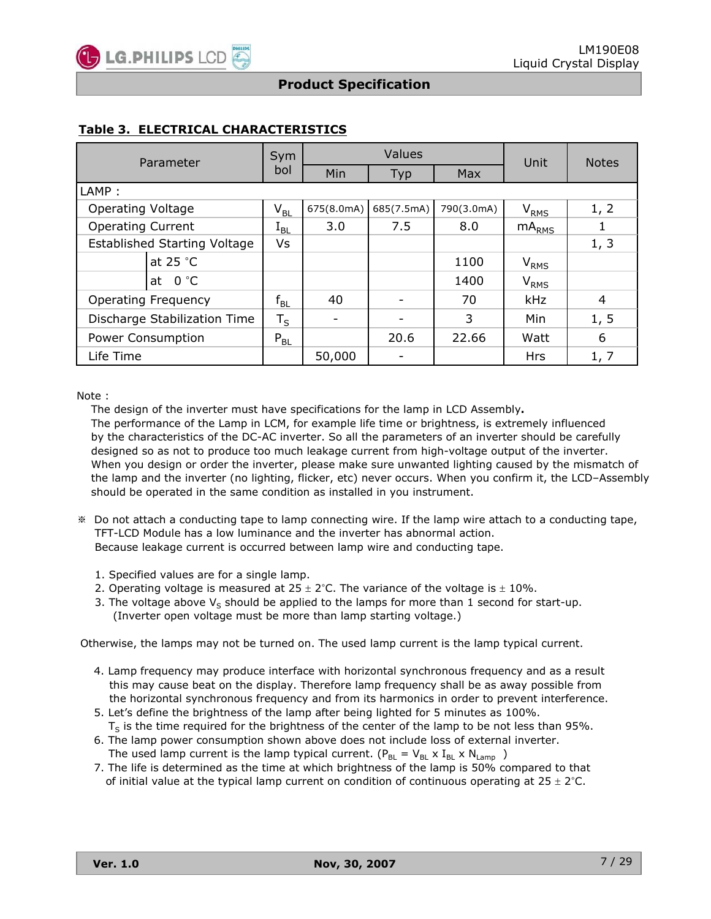#### **Table 3. ELECTRICAL CHARACTERISTICS**

| Parameter                           | Values<br>Sym              |                |            |            | Unit                        | <b>Notes</b>   |  |
|-------------------------------------|----------------------------|----------------|------------|------------|-----------------------------|----------------|--|
|                                     | bol                        | Min            | Typ        | <b>Max</b> |                             |                |  |
| LAMP:                               |                            |                |            |            |                             |                |  |
| <b>Operating Voltage</b>            | $\mathsf{V}_{\mathsf{BL}}$ | 675(8.0mA)     | 685(7.5mA) | 790(3.0mA) | $\mathsf{V}_{\mathsf{RMS}}$ | 1, 2           |  |
| <b>Operating Current</b>            | $1_{BL}$                   | 3.0            | 7.5        | 8.0        | m ${\sf A}_{\sf RMS}$       |                |  |
| <b>Established Starting Voltage</b> | Vs                         |                |            |            |                             | 1, 3           |  |
| at 25 °C                            |                            |                |            | 1100       | V <sub>RMS</sub>            |                |  |
| 0 °C<br>at                          |                            |                |            | 1400       | $V_{RMS}$                   |                |  |
| <b>Operating Frequency</b>          | $\mathsf{f}_{\mathsf{BL}}$ | 40             |            | 70         | <b>kHz</b>                  | $\overline{4}$ |  |
| Discharge Stabilization Time        | $T_S$                      | $\overline{a}$ |            | 3          | Min                         | 1, 5           |  |
| <b>Power Consumption</b>            | $P_{BL}$                   |                | 20.6       | 22.66      | Watt                        | 6              |  |
| Life Time                           |                            | 50,000         |            |            | <b>Hrs</b>                  | 1, 7           |  |

#### Note :

The design of the inverter must have specifications for the lamp in LCD Assembly**.**

The performance of the Lamp in LCM, for example life time or brightness, is extremely influenced by the characteristics of the DC-AC inverter. So all the parameters of an inverter should be carefully designed so as not to produce too much leakage current from high-voltage output of the inverter. When you design or order the inverter, please make sure unwanted lighting caused by the mismatch of the lamp and the inverter (no lighting, flicker, etc) never occurs. When you confirm it, the LCD–Assembly should be operated in the same condition as installed in you instrument.

- Do not attach a conducting tape to lamp connecting wire. If the lamp wire attach to a conducting tape, TFT-LCD Module has a low luminance and the inverter has abnormal action. Because leakage current is occurred between lamp wire and conducting tape.
	- 1. Specified values are for a single lamp.
	- 2. Operating voltage is measured at  $25 \pm 2^{\circ}$ C. The variance of the voltage is  $\pm 10\%$ .
	- 3. The voltage above  $V_S$  should be applied to the lamps for more than 1 second for start-up. (Inverter open voltage must be more than lamp starting voltage.)

Otherwise, the lamps may not be turned on. The used lamp current is the lamp typical current.

- 4. Lamp frequency may produce interface with horizontal synchronous frequency and as a result this may cause beat on the display. Therefore lamp frequency shall be as away possible from the horizontal synchronous frequency and from its harmonics in order to prevent interference.
- 5. Let's define the brightness of the lamp after being lighted for 5 minutes as 100%.  $T<sub>S</sub>$  is the time required for the brightness of the center of the lamp to be not less than 95%.
- 6. The lamp power consumption shown above does not include loss of external inverter. The used lamp current is the lamp typical current. ( $P_{BL} = V_{BL} \times I_{BL} \times N_{Lamp}$ )
- 7. The life is determined as the time at which brightness of the lamp is 50% compared to that of initial value at the typical lamp current on condition of continuous operating at  $25 \pm 2^{\circ}$ C.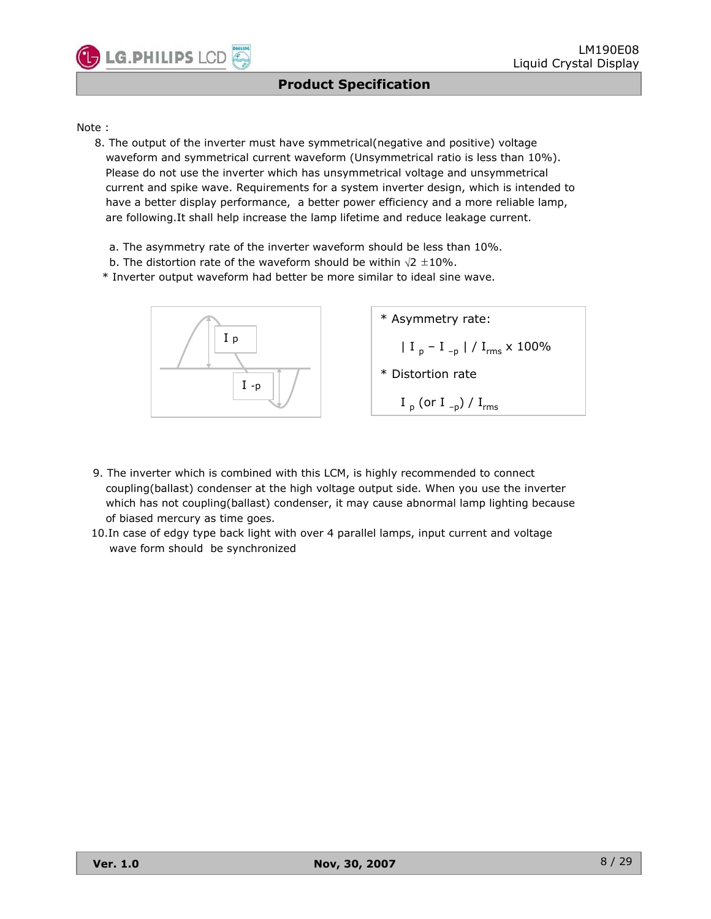#### Note :

LG.PHILIPS LCD

- 8. The output of the inverter must have symmetrical(negative and positive) voltage waveform and symmetrical current waveform (Unsymmetrical ratio is less than 10%). Please do not use the inverter which has unsymmetrical voltage and unsymmetrical current and spike wave. Requirements for a system inverter design, which is intended to have a better display performance, a better power efficiency and a more reliable lamp, are following.It shall help increase the lamp lifetime and reduce leakage current.
	- a. The asymmetry rate of the inverter waveform should be less than 10%.
	- b. The distortion rate of the waveform should be within  $\sqrt{2} \pm 10\%$ .
	- \* Inverter output waveform had better be more similar to ideal sine wave.



- 9. The inverter which is combined with this LCM, is highly recommended to connect coupling(ballast) condenser at the high voltage output side. When you use the inverter which has not coupling(ballast) condenser, it may cause abnormal lamp lighting because of biased mercury as time goes.
- 10.In case of edgy type back light with over 4 parallel lamps, input current and voltage wave form should be synchronized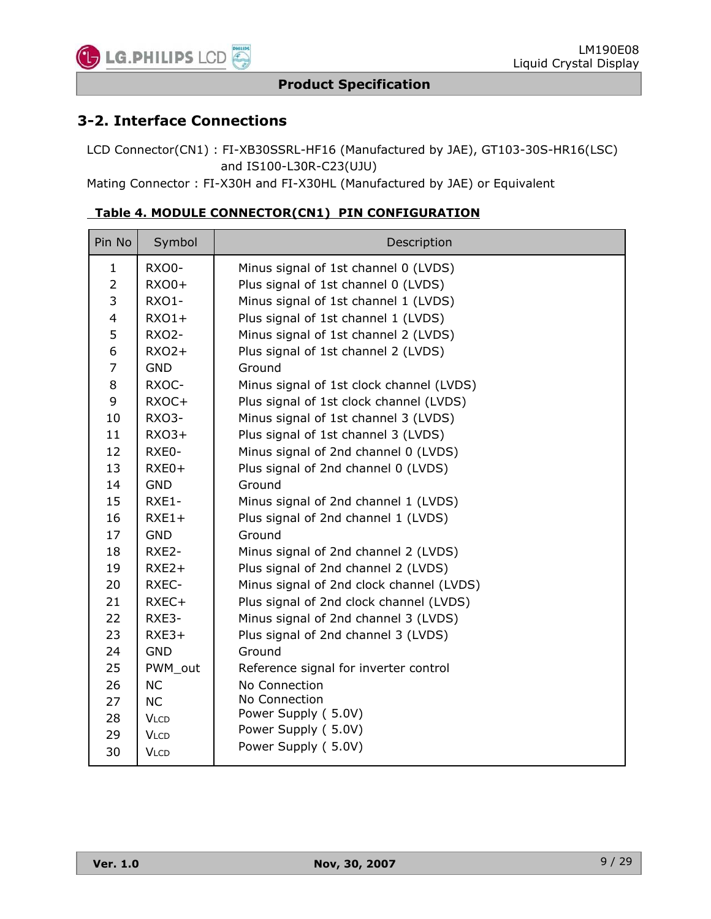

### **3-2. Interface Connections**

LCD Connector(CN1) : FI-XB30SSRL-HF16 (Manufactured by JAE), GT103-30S-HR16(LSC) and IS100-L30R-C23(UJU)

Mating Connector : FI-X30H and FI-X30HL (Manufactured by JAE) or Equivalent

| Pin No         | Symbol       | Description                              |
|----------------|--------------|------------------------------------------|
| 1              | RXO0-        | Minus signal of 1st channel 0 (LVDS)     |
| $\overline{2}$ | RXO0+        | Plus signal of 1st channel 0 (LVDS)      |
| 3              | RXO1-        | Minus signal of 1st channel 1 (LVDS)     |
| 4              | $RXO1+$      | Plus signal of 1st channel 1 (LVDS)      |
| 5              | <b>RXO2-</b> | Minus signal of 1st channel 2 (LVDS)     |
| 6              | $RXO2+$      | Plus signal of 1st channel 2 (LVDS)      |
| $\overline{7}$ | <b>GND</b>   | Ground                                   |
| 8              | RXOC-        | Minus signal of 1st clock channel (LVDS) |
| 9              | RXOC+        | Plus signal of 1st clock channel (LVDS)  |
| 10             | RXO3-        | Minus signal of 1st channel 3 (LVDS)     |
| 11             | $RXO3+$      | Plus signal of 1st channel 3 (LVDS)      |
| 12             | RXE0-        | Minus signal of 2nd channel 0 (LVDS)     |
| 13             | $RXE0+$      | Plus signal of 2nd channel 0 (LVDS)      |
| 14             | <b>GND</b>   | Ground                                   |
| 15             | RXE1-        | Minus signal of 2nd channel 1 (LVDS)     |
| 16             | $RXE1+$      | Plus signal of 2nd channel 1 (LVDS)      |
| 17             | <b>GND</b>   | Ground                                   |
| 18             | RXE2-        | Minus signal of 2nd channel 2 (LVDS)     |
| 19             | $RXE2+$      | Plus signal of 2nd channel 2 (LVDS)      |
| 20             | RXEC-        | Minus signal of 2nd clock channel (LVDS) |
| 21             | RXEC+        | Plus signal of 2nd clock channel (LVDS)  |
| 22             | RXE3-        | Minus signal of 2nd channel 3 (LVDS)     |
| 23             | $RXE3+$      | Plus signal of 2nd channel 3 (LVDS)      |
| 24             | <b>GND</b>   | Ground                                   |
| 25             | PWM_out      | Reference signal for inverter control    |
| 26             | <b>NC</b>    | No Connection                            |
| 27             | <b>NC</b>    | No Connection                            |
| 28             | <b>VLCD</b>  | Power Supply (5.0V)                      |
| 29             | <b>VLCD</b>  | Power Supply (5.0V)                      |
| 30             | <b>VLCD</b>  | Power Supply (5.0V)                      |

### **Table 4. MODULE CONNECTOR(CN1) PIN CONFIGURATION**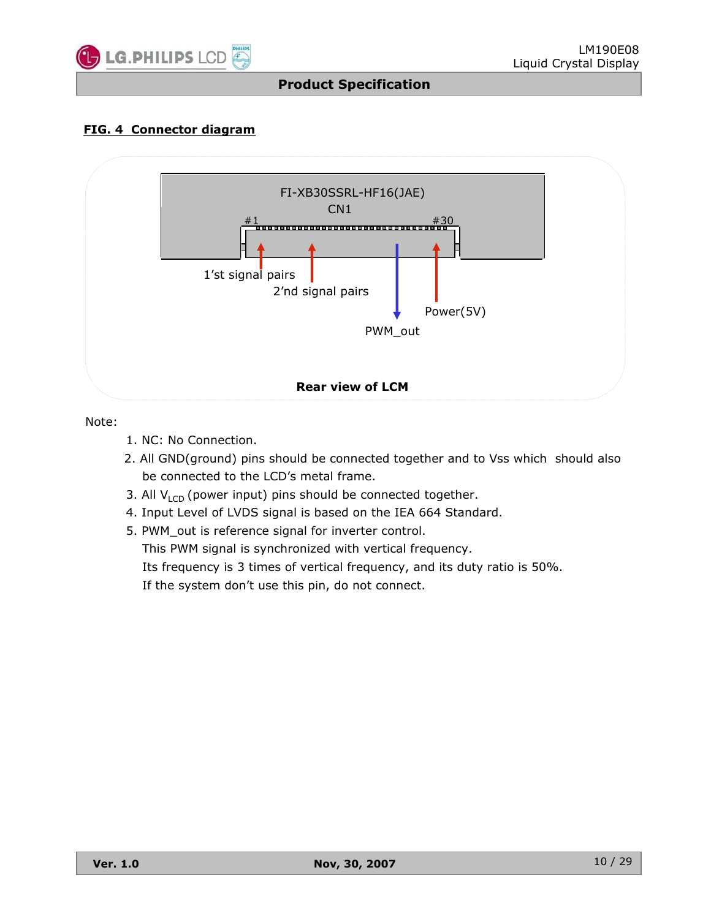

#### **FIG. 4 Connector diagram**



Note:

- 1. NC: No Connection.
- 2. All GND(ground) pins should be connected together and to Vss which should also be connected to the LCD's metal frame.
- 3. All  $V_{\text{LCD}}$  (power input) pins should be connected together.
- 4. Input Level of LVDS signal is based on the IEA 664 Standard.
- 5. PWM\_out is reference signal for inverter control. This PWM signal is synchronized with vertical frequency. Its frequency is 3 times of vertical frequency, and its duty ratio is 50%. If the system don't use this pin, do not connect.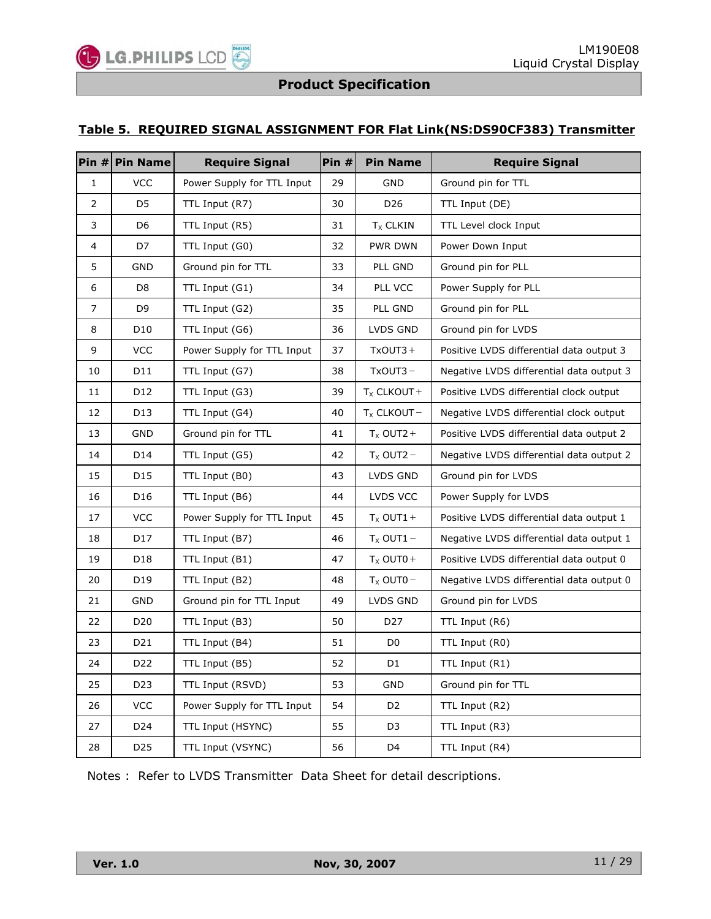#### **Table 5. REQUIRED SIGNAL ASSIGNMENT FOR Flat Link(NS:DS90CF383) Transmitter**

|                | Pin $#$ Pin Name | <b>Require Signal</b>      | Pin # | <b>Pin Name</b> | <b>Require Signal</b>                    |
|----------------|------------------|----------------------------|-------|-----------------|------------------------------------------|
| $\mathbf{1}$   | <b>VCC</b>       | Power Supply for TTL Input | 29    | <b>GND</b>      | Ground pin for TTL                       |
| $\overline{2}$ | D5               | TTL Input (R7)             | 30    | D <sub>26</sub> | TTL Input (DE)                           |
| 3              | D <sub>6</sub>   | TTL Input (R5)             | 31    | $T_X$ CLKIN     | TTL Level clock Input                    |
| 4              | D7               | TTL Input (G0)             | 32    | PWR DWN         | Power Down Input                         |
| 5              | GND              | Ground pin for TTL         | 33    | PLL GND         | Ground pin for PLL                       |
| 6              | D <sub>8</sub>   | TTL Input (G1)             | 34    | PLL VCC         | Power Supply for PLL                     |
| 7              | D <sub>9</sub>   | TTL Input (G2)             | 35    | PLL GND         | Ground pin for PLL                       |
| 8              | D <sub>10</sub>  | TTL Input (G6)             | 36    | LVDS GND        | Ground pin for LVDS                      |
| 9              | <b>VCC</b>       | Power Supply for TTL Input | 37    | $TxOUT3 +$      | Positive LVDS differential data output 3 |
| 10             | D11              | TTL Input (G7)             | 38    | $TxOUT3 -$      | Negative LVDS differential data output 3 |
| 11             | D12              | TTL Input (G3)             | 39    | $T_X$ CLKOUT +  | Positive LVDS differential clock output  |
| 12             | D <sub>13</sub>  | TTL Input (G4)             | 40    | $T_X$ CLKOUT -  | Negative LVDS differential clock output  |
| 13             | <b>GND</b>       | Ground pin for TTL         | 41    | $T_x$ OUT2 +    | Positive LVDS differential data output 2 |
| 14             | D14              | TTL Input (G5)             | 42    | $T_x$ OUT2 -    | Negative LVDS differential data output 2 |
| 15             | D <sub>15</sub>  | TTL Input (B0)             | 43    | LVDS GND        | Ground pin for LVDS                      |
| 16             | D <sub>16</sub>  | TTL Input (B6)             | 44    | LVDS VCC        | Power Supply for LVDS                    |
| 17             | <b>VCC</b>       | Power Supply for TTL Input | 45    | $T_x$ OUT1 +    | Positive LVDS differential data output 1 |
| 18             | D17              | TTL Input (B7)             | 46    | $T_x$ OUT1 –    | Negative LVDS differential data output 1 |
| 19             | D18              | TTL Input (B1)             | 47    | $T_x$ OUT0+     | Positive LVDS differential data output 0 |
| 20             | D19              | TTL Input (B2)             | 48    | $T_x$ OUT0 $-$  | Negative LVDS differential data output 0 |
| 21             | GND              | Ground pin for TTL Input   | 49    | LVDS GND        | Ground pin for LVDS                      |
| 22             | D20              | TTL Input (B3)             | 50    | D27             | TTL Input (R6)                           |
| 23             | D21              | TTL Input (B4)             | 51    | D <sub>0</sub>  | TTL Input (R0)                           |
| 24             | D22              | TTL Input (B5)             | 52    | D1              | TTL Input (R1)                           |
| 25             | D <sub>23</sub>  | TTL Input (RSVD)           | 53    | <b>GND</b>      | Ground pin for TTL                       |
| 26             | <b>VCC</b>       | Power Supply for TTL Input | 54    | D <sub>2</sub>  | TTL Input (R2)                           |
| 27             | D24              | TTL Input (HSYNC)          | 55    | D <sub>3</sub>  | TTL Input (R3)                           |
| 28             | D <sub>25</sub>  | TTL Input (VSYNC)          | 56    | D4              | TTL Input (R4)                           |

Notes : Refer to LVDS Transmitter Data Sheet for detail descriptions.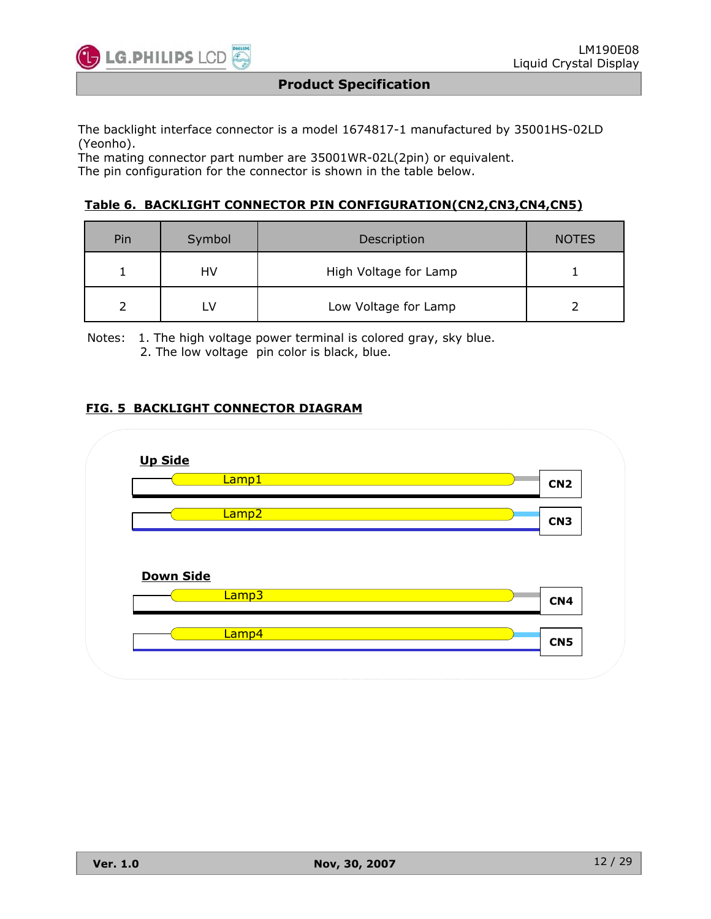

The backlight interface connector is a model 1674817-1 manufactured by 35001HS-02LD (Yeonho).

The mating connector part number are 35001WR-02L(2pin) or equivalent. The pin configuration for the connector is shown in the table below.

#### **Table 6. BACKLIGHT CONNECTOR PIN CONFIGURATION(CN2,CN3,CN4,CN5)**

| Pin | Symbol | Description           | <b>NOTES</b> |
|-----|--------|-----------------------|--------------|
|     | HV     | High Voltage for Lamp |              |
|     |        | Low Voltage for Lamp  |              |

Notes: 1. The high voltage power terminal is colored gray, sky blue. 2. The low voltage pin color is black, blue.

#### **FIG. 5 BACKLIGHT CONNECTOR DIAGRAM**

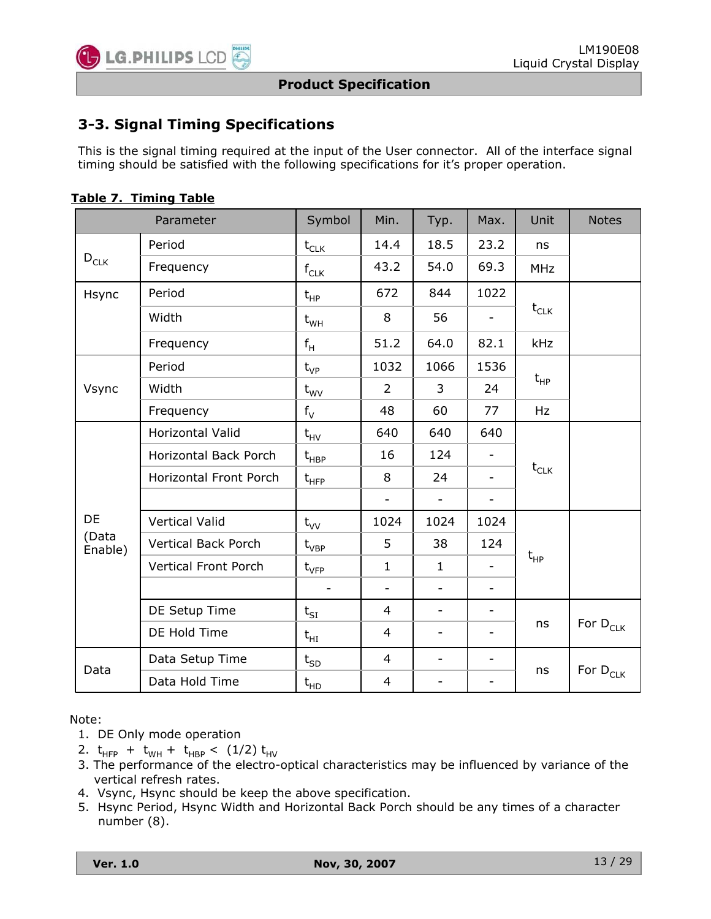

# **3-3. Signal Timing Specifications**

This is the signal timing required at the input of the User connector. All of the interface signal timing should be satisfied with the following specifications for it's proper operation.

|                  | Parameter                     | Symbol                                        | Min.                     | Typ.                     | Max.                     | Unit                        | <b>Notes</b>  |
|------------------|-------------------------------|-----------------------------------------------|--------------------------|--------------------------|--------------------------|-----------------------------|---------------|
|                  | Period                        | $t_{CLK}$                                     | 14.4                     | 18.5                     | 23.2                     | ns                          |               |
| $D_{CLK}$        | Frequency                     | $f_{CLK}$                                     | 43.2                     | 54.0                     | 69.3                     | <b>MHz</b>                  |               |
| Hsync            | Period                        | $t_{HP}$                                      | 672                      | 844                      | 1022                     |                             |               |
|                  | Width                         | $t_{WH}$                                      | 8                        | 56                       | $\overline{\phantom{0}}$ | $\mathsf{t}_{\mathsf{CLK}}$ |               |
|                  | Frequency                     | $f_H$                                         | 51.2                     | 64.0                     | 82.1                     | <b>kHz</b>                  |               |
|                  | Period                        | $t_{VP}$                                      | 1032                     | 1066                     | 1536                     |                             |               |
| Vsync            | Width                         | $t_{\text{WV}}$                               | $\overline{2}$           | 3                        | 24                       | $t_{HP}$                    |               |
|                  | Frequency                     | $f_V$                                         | 48                       | 60                       | 77                       | Hz                          |               |
|                  | Horizontal Valid              | $t_{HV}$                                      | 640                      | 640                      | 640                      |                             |               |
|                  | Horizontal Back Porch         | $\mathsf{t}_{\mathsf{H}\mathsf{B}\mathsf{P}}$ | 16                       | 124                      | $\overline{\phantom{a}}$ | $t_{CLK}$                   |               |
|                  | <b>Horizontal Front Porch</b> | $t_{HFP}$                                     | 8                        | 24                       | $\qquad \qquad -$        |                             |               |
|                  |                               |                                               | $\overline{\phantom{a}}$ | $\overline{\phantom{0}}$ | $\overline{\phantom{a}}$ |                             |               |
| DE               | <b>Vertical Valid</b>         | $t_{VV}$                                      | 1024                     | 1024                     | 1024                     |                             |               |
| (Data<br>Enable) | <b>Vertical Back Porch</b>    | $t_{VBP}$                                     | 5                        | 38                       | 124                      |                             |               |
|                  | <b>Vertical Front Porch</b>   | $t_{\rm VFP}$                                 | $\mathbf{1}$             | $\mathbf{1}$             | $\overline{\phantom{a}}$ | $t_{HP}$                    |               |
|                  |                               |                                               | $\overline{\phantom{a}}$ | $\overline{\phantom{a}}$ | $\overline{\phantom{a}}$ |                             |               |
|                  | DE Setup Time                 | $t_{SI}$                                      | 4                        | $\overline{\phantom{a}}$ | $\overline{\phantom{0}}$ |                             |               |
|                  | DE Hold Time                  | $\mathsf{t}_{\mathsf{H}\mathrm{I}}$           | $\overline{4}$           | $\overline{\phantom{a}}$ | $\overline{\phantom{0}}$ | ns                          | For $D_{CLK}$ |
|                  | Data Setup Time               | $t_{SD}$                                      | $\overline{4}$           | $\overline{\phantom{a}}$ | $\overline{\phantom{a}}$ |                             |               |
| Data             | Data Hold Time                | $t_{HD}$                                      | 4                        | -                        | $\qquad \qquad -$        | ns                          | For $D_{CLK}$ |

| Table 7. Timing Table |  |  |  |  |
|-----------------------|--|--|--|--|
|-----------------------|--|--|--|--|

Note:

- 1. DE Only mode operation
- 2.  $t_{HFP}$  +  $t_{WH}$  +  $t_{HBP}$  < (1/2)  $t_{HV}$
- 3. The performance of the electro-optical characteristics may be influenced by variance of the vertical refresh rates.
- 4. Vsync, Hsync should be keep the above specification.
- 5. Hsync Period, Hsync Width and Horizontal Back Porch should be any times of a character number (8).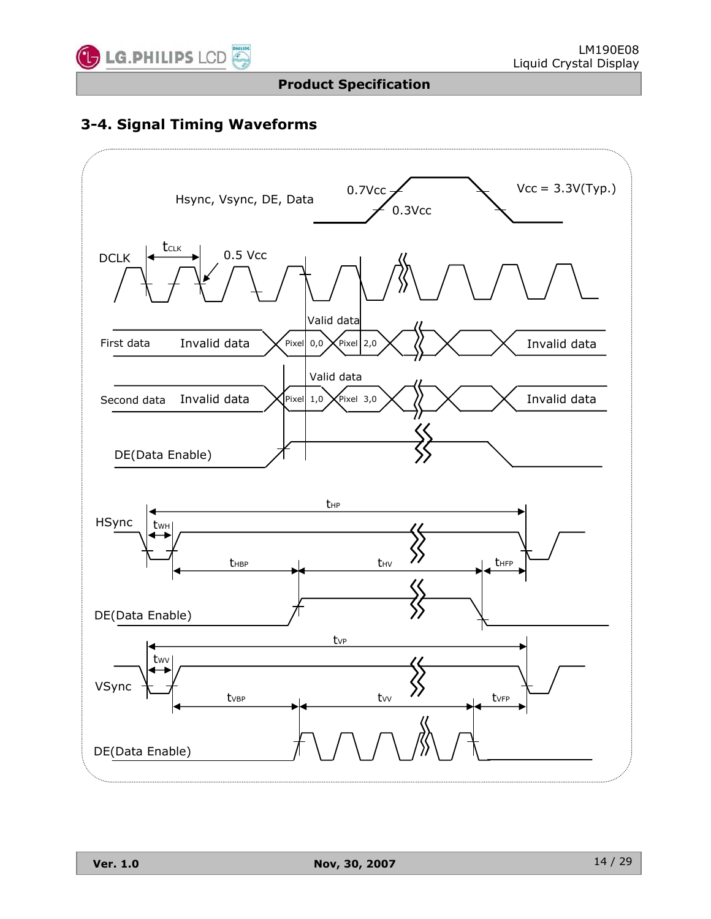

# **3-4. Signal Timing Waveforms**

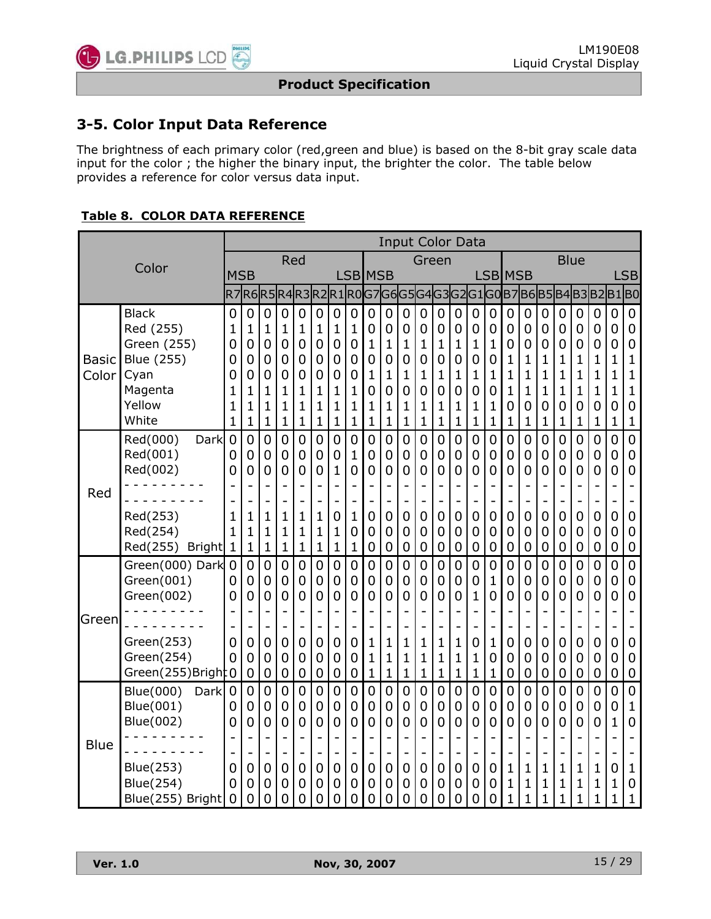

### **3-5. Color Input Data Reference**

The brightness of each primary color (red,green and blue) is based on the 8-bit gray scale data input for the color ; the higher the binary input, the brighter the color. The table below provides a reference for color versus data input.

#### **Table 8. COLOR DATA REFERENCE**

|                       |                                                                                               |                          |                            |                                               |                                                                                                  |                                                                                                   |                                               |                                                             |                                                                  |                                         |                                                                     |                                                                                               | <b>Input Color Data</b>                           |                                                                                                   |                                                                                                                |                                                                     |                                         |                                                                               |                                                                                 |                                           |                                                        |                                                                               |                            |                                                    |                                                                                       |
|-----------------------|-----------------------------------------------------------------------------------------------|--------------------------|----------------------------|-----------------------------------------------|--------------------------------------------------------------------------------------------------|---------------------------------------------------------------------------------------------------|-----------------------------------------------|-------------------------------------------------------------|------------------------------------------------------------------|-----------------------------------------|---------------------------------------------------------------------|-----------------------------------------------------------------------------------------------|---------------------------------------------------|---------------------------------------------------------------------------------------------------|----------------------------------------------------------------------------------------------------------------|---------------------------------------------------------------------|-----------------------------------------|-------------------------------------------------------------------------------|---------------------------------------------------------------------------------|-------------------------------------------|--------------------------------------------------------|-------------------------------------------------------------------------------|----------------------------|----------------------------------------------------|---------------------------------------------------------------------------------------|
|                       | Color                                                                                         |                          |                            |                                               |                                                                                                  | Red                                                                                               |                                               |                                                             |                                                                  |                                         |                                                                     |                                                                                               | Green                                             |                                                                                                   |                                                                                                                |                                                                     |                                         |                                                                               |                                                                                 |                                           | <b>Blue</b>                                            |                                                                               |                            |                                                    |                                                                                       |
|                       |                                                                                               | <b>MSB</b>               |                            |                                               |                                                                                                  |                                                                                                   |                                               |                                                             | LSB <b>I</b> MSB                                                 |                                         |                                                                     |                                                                                               |                                                   |                                                                                                   |                                                                                                                |                                                                     |                                         | LSB MSB                                                                       |                                                                                 |                                           |                                                        |                                                                               |                            |                                                    | <b>LSB</b>                                                                            |
|                       |                                                                                               |                          |                            |                                               |                                                                                                  |                                                                                                   | R7R6R5R4R3R2R1R0G7                            |                                                             |                                                                  |                                         |                                                                     |                                                                                               |                                                   |                                                                                                   |                                                                                                                |                                                                     |                                         |                                                                               |                                                                                 | G6 G5 G4 G3 G2 G1 G0 B7 B6 B5 B4 B3 B2 B1 |                                                        |                                                                               |                            |                                                    | B0]                                                                                   |
| <b>Basic</b><br>Color | <b>Black</b><br>Red (255)<br>Green (255)<br>Blue (255)<br>Cyan                                | 0<br>1<br>0<br>0<br>0    | 0<br>1<br>0<br>0<br>0      | 0<br>$\mathbf{1}$<br>$\overline{0}$<br>0<br>0 | $\overline{0}$<br>$\mathbf 1$<br>$\overline{0}$<br>0<br>0                                        | $\overline{0}$<br>$\mathbf{1}$<br>0<br>0<br>0                                                     | 0<br>$\mathbf{1}$<br>$\overline{0}$<br>0<br>0 | 0<br>$\mathbf{1}$<br>0<br>0<br>0                            | 0<br>1<br>0<br>0<br>0                                            | 0<br>0<br>1<br>0<br>1                   | $\overline{0}$<br>0<br>1<br>0<br>1                                  | $\overline{0}$<br>$\overline{0}$<br>$\mathbf{1}$<br>0<br>1                                    | 0<br>0<br>$\mathbf{1}$<br>0<br>1                  | $\overline{0}$<br>$\overline{0}$<br>$\mathbf{1}$<br>0<br>1                                        | $\overline{0}$<br>$\overline{0}$<br>$\mathbf{1}$<br>$\mathbf 0$<br>1                                           | $\mathbf 0$<br>0<br>$\mathbf{1}$<br>$\mathbf 0$<br>1                | 0<br>0<br>1<br>0<br>1                   | 0<br>0<br>0<br>$\mathbf 1$<br>$\overline{1}$                                  | $\overline{0}$<br>0<br>0<br>1<br>1                                              | 0<br>0<br>0<br>1<br>1                     | 0<br>0<br>0<br>1<br>1                                  | 0<br>0<br>0<br>1<br>1                                                         | 0<br>0<br>0<br>1<br>1      | 0<br>0<br>0<br>1<br>1                              | 0<br>0<br>0<br>$\mathbf 1$<br>$\mathbf 1$                                             |
|                       | Magenta<br>Yellow<br>White                                                                    | 1<br>1<br>1              | 1<br>1<br>1                | 1<br>1<br>1                                   | $\mathbf{1}$<br>$\mathbf{1}$<br>$\mathbf{1}$                                                     | 1<br>1<br>1                                                                                       | 1<br>1<br>1                                   | 1<br>1<br>$\mathbf 1$                                       | 1<br>1<br>$\mathbf{1}$                                           | 0<br>1<br>1                             | 0<br>1<br>1                                                         | 0<br>1<br>$\mathbf{1}$                                                                        | 0<br>1<br>1                                       | $\overline{0}$<br>1<br>1                                                                          | 0<br>1<br>$\mathbf 1$                                                                                          | $\mathbf 0$<br>1<br>1                                               | 0<br>1<br>1                             | $\mathbf{1}$<br>0<br>$\mathbf 1$                                              | $\mathbf 1$<br>0<br>$\mathbf{1}$                                                | 1<br>0<br>1                               | $\mathbf{1}$<br>0<br>1                                 | 1<br>0<br>1                                                                   | 1<br>0<br>1                | 1<br>0<br>$\mathbf{1}$                             | $\mathbf 1$<br>0<br>$\mathbf 1$                                                       |
|                       | Red(000)<br>Dark<br>Red(001)<br>Red(002)                                                      | $\overline{0}$<br>0<br>0 | 0<br>0<br>0                | $\overline{0}$<br>$\mathbf 0$<br>0            | $\overline{0}$<br>$\mathbf 0$<br>0                                                               | 0<br>$\mathbf 0$<br>$\overline{0}$                                                                | $\overline{0}$<br>0<br>0                      | 0<br>0<br>$\mathbf{1}$                                      | 0<br>$\mathbf{1}$<br>0                                           | $\overline{0}$<br>$\mathbf 0$<br>0      | 0<br>0<br>0                                                         | $\overline{0}$<br>$\mathbf 0$<br>0                                                            | 0<br>0<br>0                                       | $\overline{0}$<br>$\mathbf 0$<br>0                                                                | $\overline{0}$<br>0<br>0                                                                                       | $\overline{0}$<br>$\boldsymbol{0}$<br>0                             | 0<br>0<br>0                             | $\overline{0}$<br>0<br>0                                                      | $\overline{0}$<br>$\mathbf 0$<br>0                                              | 0<br>0<br>0                               | 0<br>0<br>0                                            | $\overline{0}$<br>0<br>0                                                      | 0<br>0<br>0                | $\overline{0}$<br>0<br>0                           | $\overline{0}$<br>$\boldsymbol{0}$<br>$\overline{0}$                                  |
| Red                   | Red(253)<br>Red(254)<br>Red(255) Bright                                                       | 1<br>1<br>$\mathbf 1$    | 1<br>1<br>1                | 1<br>$\mathbf{1}$<br>$\mathbf 1$              | $\overline{a}$<br>$\mathbf{1}$<br>$\mathbf{1}$<br>$\mathbf{1}$                                   | 1<br>1<br>$\mathbf 1$                                                                             | 1<br>1<br>$\mathbf 1$                         | $\overline{\phantom{0}}$<br>0<br>$\mathbf 1$<br>$\mathbf 1$ | 1<br>0<br>$\mathbf{1}$                                           | 0<br>0<br>0                             | $\qquad \qquad -$<br>0<br>0<br>$\mathbf 0$                          | $\overline{\phantom{0}}$<br>$\overline{0}$<br>$\overline{0}$<br>$\mathbf 0$                   | 0<br>0<br>0                                       | -<br>$\overline{0}$<br>0<br>$\mathbf 0$                                                           | $\qquad \qquad -$<br>$\overline{0}$<br>$\overline{0}$<br>$\mathbf 0$                                           | 0<br>0<br>$\mathbf 0$                                               | 0<br>0<br>0                             | 0<br>0<br>0                                                                   | 0<br>0<br>0                                                                     | 0<br>0<br>0                               | $\overline{\phantom{0}}$<br>0<br>0<br>0                | $\overline{\phantom{0}}$<br>0<br>0<br>$\mathbf 0$                             | 0<br>0<br>0                | 0<br>0<br>0                                        | $\mathbf 0$<br>$\mathbf 0$<br>$\mathbf 0$                                             |
| <b>G</b> reen         | Green(000) Dark<br>Green(001)<br>Green(002)<br>Green(253)<br>Green(254)                       | 0<br>0<br>0<br>0<br>0    | 0<br>0<br>0<br>0<br>0      | $\mathbf 0$<br>0<br>0<br>Ĭ.<br>0<br>0         | $\overline{0}$<br>0<br>$\overline{0}$<br>$\overline{a}$<br>$\overline{a}$<br>$\overline{0}$<br>0 | 0<br>0<br>0<br>$\blacksquare$<br>0<br>0                                                           | 0<br>0<br>0<br>0<br>0                         | 0<br>0<br>0<br>$\overline{\phantom{m}}$<br>0<br>0           | 0<br>0<br>0<br>-<br>$\overline{a}$<br>0<br>0                     | 0<br>0<br>0<br>1<br>1                   | 0<br>0<br>0<br>$\blacksquare$<br>1<br>1                             | 0<br>0<br>$\overline{0}$<br>$\overline{\phantom{0}}$<br>1<br>$\mathbf{1}$                     | 0<br>0<br>0<br>1<br>1                             | $\overline{0}$<br>0<br>0<br>$\overline{a}$<br>1<br>1                                              | $\overline{0}$<br>0<br>0<br>$\overline{\phantom{0}}$<br>$\overline{\phantom{0}}$<br>1<br>$\mathbf{1}$          | 0<br>0<br>1<br>$\blacksquare$<br>0<br>1                             | 0<br>1<br>0<br>1<br>0                   | 0<br>0<br>0<br>$\overline{a}$<br>0<br>0                                       | 0<br>0<br>0<br>$\overline{\phantom{0}}$<br>0<br>0                               | 0<br>0<br>0<br>0<br>0                     | 0<br>0<br>0<br>$\overline{\phantom{a}}$<br>0<br>0      | 0<br>0<br>0<br>$\overline{\phantom{0}}$<br>$\overline{\phantom{a}}$<br>0<br>0 | 0<br>0<br>0<br>0<br>0      | $\mathbf 0$<br>0<br>0<br>0<br>0                    | $\overline{0}$<br>0<br>0<br>0<br>0                                                    |
| <b>Blue</b>           | Green(255)Bright $0$<br>Blue(000)<br>Dark<br>Blue(001)<br>Blue(002)<br>Blue(253)<br>Blue(254) | 0<br>0<br>0<br>0<br>0    | 0<br>0<br>0<br>0<br>0<br>0 | 0<br>$\overline{0}$<br>0<br>0<br>Ĭ.<br>0<br>0 | $\mathbf 0$<br>0<br>$\mathbf 0$<br>$\overline{0}$<br>$\overline{a}$<br>0<br>0                    | $\mathbf 0$<br>0<br>$\mathbf 0$<br>$\mathbf 0$<br>$\overline{\phantom{0}}$<br>$\overline{0}$<br>0 | 0<br>0<br>0<br>0<br>0<br>0                    | 0<br>0<br>0<br>0<br>$\blacksquare$<br>0<br>0                | $\mathbf 0$<br>0<br>0<br>0<br>$\blacksquare$<br>$\mathbf 0$<br>0 | 1<br>$\overline{0}$<br>0<br>0<br>0<br>0 | 1<br>0<br>0<br>0<br>$\overline{\phantom{0}}$<br>$\overline{0}$<br>0 | 1<br>$\overline{0}$<br>$\mathbf 0$<br>$\overline{0}$<br>$\blacksquare$<br>$\overline{0}$<br>0 | $\mathbf 1$<br>$\overline{0}$<br>0<br>0<br>0<br>0 | 1<br>$\overline{0}$<br>$\mathbf 0$<br>$\mathbf 0$<br>$\overline{\phantom{0}}$<br>$\mathbf 0$<br>0 | $\mathbf 1$<br>0<br>$\mathbf 0$<br>$\mathbf 0$<br>$\overline{\phantom{0}}$<br>$\overline{0}$<br>$\overline{0}$ | 1<br>$\overline{0}$<br>0<br>$\mathbf 0$<br>$\blacksquare$<br>0<br>0 | 1<br>$\overline{0}$<br>0<br>0<br>0<br>0 | 0<br>$\overline{0}$<br>0<br>0<br>$\overline{a}$<br>$\mathbf 1$<br>$\mathbf 1$ | 0<br>$\overline{0}$<br>0<br>0<br>$\blacksquare$<br>$\mathbf{1}$<br>$\mathbf{1}$ | 0<br>$\overline{0}$<br>0<br>0<br>1<br>1   | 0<br>0<br>0<br>0<br>$\blacksquare$<br>1<br>$\mathbf 1$ | 0<br>$\overline{0}$<br>0<br>0<br>$\overline{\phantom{0}}$<br>1<br>1           | 0<br>0<br>0<br>0<br>1<br>1 | 0<br>$\overline{0}$<br>0<br>$\mathbf{1}$<br>0<br>1 | $\boldsymbol{0}$<br>$\mathbf 0$<br>1<br>$\overline{0}$<br>$\mathbf{1}$<br>$\mathbf 0$ |
|                       | Blue(255) Bright                                                                              | 0                        | 0                          | 0                                             | 0                                                                                                | 0                                                                                                 | 0                                             | 0                                                           | 0                                                                | 0                                       | 0                                                                   | 0                                                                                             | 0                                                 | 0                                                                                                 | $\overline{0}$                                                                                                 | 0                                                                   | 0                                       | $\mathbf 1$                                                                   | 1                                                                               | 1                                         | $\mathbf 1$                                            | 1                                                                             | $\mathbf 1$                | 1                                                  | $\mathbf{1}$                                                                          |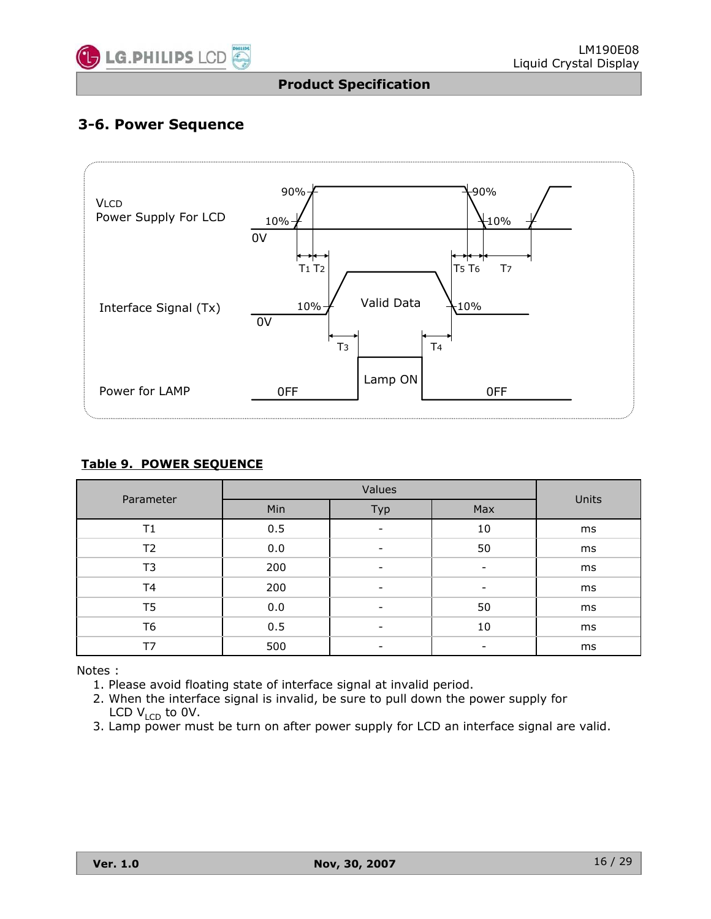

# **3-6. Power Sequence**



#### **Table 9. POWER SEQUENCE**

| Parameter      |     | Units |                          |    |
|----------------|-----|-------|--------------------------|----|
|                | Min | Max   |                          |    |
| Τ1             | 0.5 | ۰     | 10                       | ms |
| T2             | 0.0 | ٠     | 50                       | ms |
| T3             | 200 | ۰     | $\overline{\phantom{a}}$ | ms |
| T <sub>4</sub> | 200 |       | $\overline{\phantom{0}}$ | ms |
| T <sub>5</sub> | 0.0 |       | 50                       | ms |
| T <sub>6</sub> | 0.5 |       | 10                       | ms |
| T7             | 500 |       |                          | ms |

Notes :

- 1. Please avoid floating state of interface signal at invalid period.
- 2. When the interface signal is invalid, be sure to pull down the power supply for LCD  $V_{LCD}$  to 0V.
- 3. Lamp power must be turn on after power supply for LCD an interface signal are valid.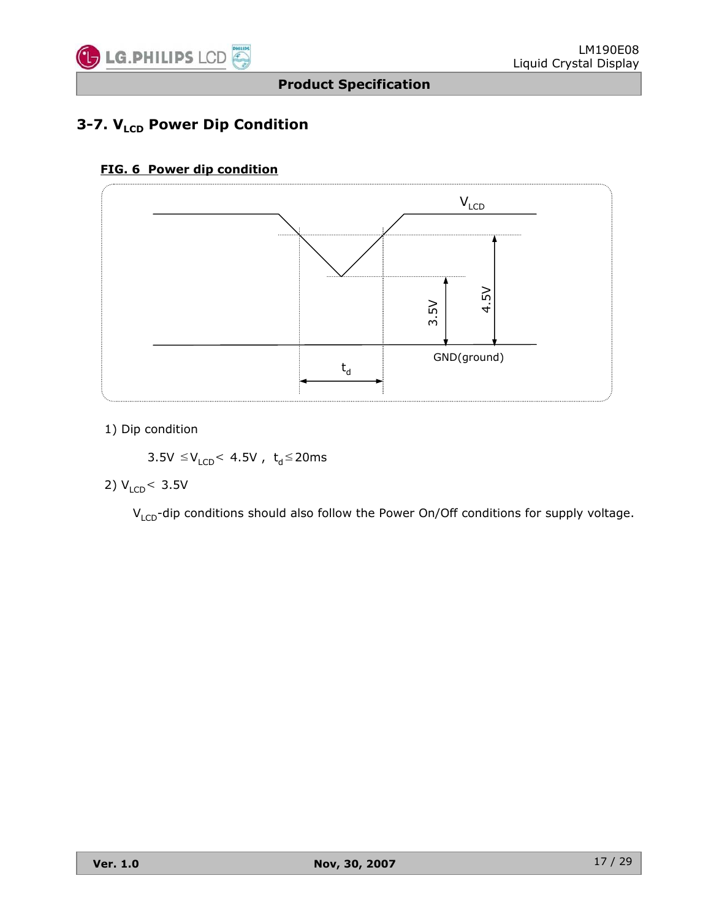

# **3-7. V<sub>LCD</sub> Power Dip Condition**

# **FIG. 6 Power dip condition**



1) Dip condition

 $3.5V \leq V_{LCD}$  4.5V,  $t_d \leq 20$ ms

2)  $V_{LCD}$  < 3.5V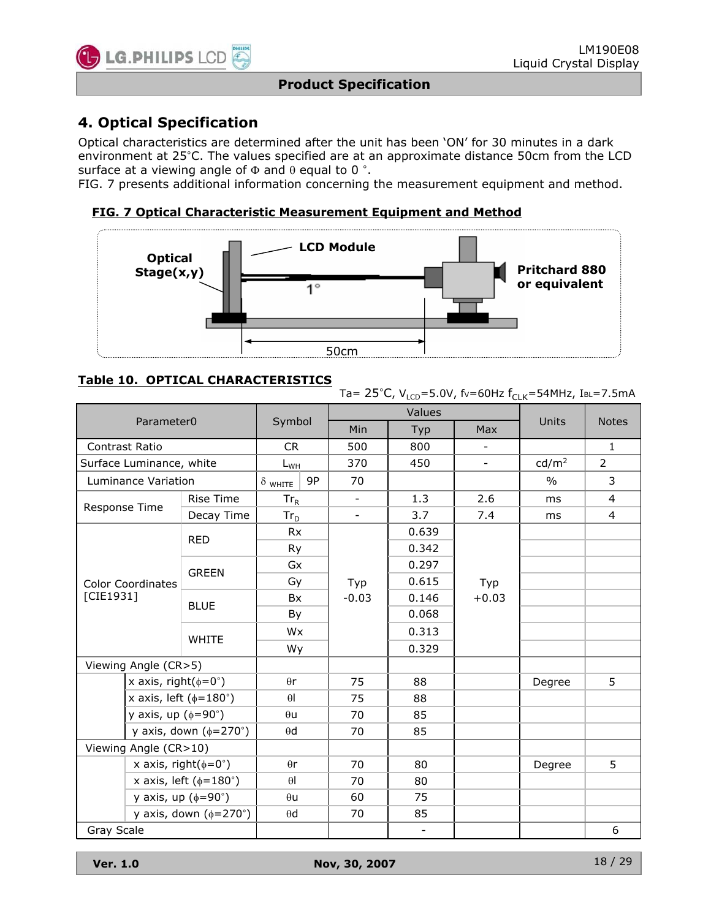

# **4. Optical Specification**

Optical characteristics are determined after the unit has been 'ON' for 30 minutes in a dark environment at 25°C. The values specified are at an approximate distance 50cm from the LCD surface at a viewing angle of  $\Phi$  and  $\theta$  equal to 0 °.

FIG. 7 presents additional information concerning the measurement equipment and method.

#### **FIG. 7 Optical Characteristic Measurement Equipment and Method**



#### **Table 10. OPTICAL CHARACTERISTICS**

Ta=  $25^{\circ}$ C, V<sub>LCD</sub>=5.0V, fv=60Hz f<sub>CLK</sub>=54MHz, IBL=7.5mA

|            |                                     |                                     |                |    |                          | Values                   |                          |                           |                |  |
|------------|-------------------------------------|-------------------------------------|----------------|----|--------------------------|--------------------------|--------------------------|---------------------------|----------------|--|
|            | Parameter <sub>0</sub>              |                                     | Symbol         |    | Min                      | Typ                      | Max                      |                           | <b>Notes</b>   |  |
|            | <b>Contrast Ratio</b>               |                                     | <b>CR</b>      |    | 500                      | 800                      | $\overline{\phantom{a}}$ |                           | $\mathbf{1}$   |  |
|            | Surface Luminance, white            |                                     | $L_{WH}$       |    | 370                      | 450                      | $\overline{\phantom{a}}$ | cd/m <sup>2</sup>         | $\overline{2}$ |  |
|            | Luminance Variation                 |                                     | $\delta$ white | 9P | 70                       |                          |                          | $\frac{0}{0}$             | 3              |  |
|            | <b>Rise Time</b><br>Response Time   |                                     | $Tr_R$         |    | $\overline{\phantom{a}}$ | 1.3                      | 2.6                      | ms                        | 4              |  |
|            |                                     | Decay Time                          | $Tr_{D}$       |    | $\overline{\phantom{a}}$ | 3.7                      | 7.4                      | ms                        | 4              |  |
|            |                                     | <b>RED</b>                          | <b>Rx</b>      |    |                          | 0.639                    |                          |                           |                |  |
|            |                                     |                                     | Ry             |    |                          | 0.342                    |                          |                           |                |  |
|            |                                     |                                     | Gx             |    |                          | 0.297                    |                          | Units<br>Degree<br>Degree |                |  |
|            | <b>Color Coordinates</b>            | <b>GREEN</b>                        | Gy             |    | Typ                      | 0.615                    | Typ                      |                           |                |  |
| [CIE1931]  |                                     | <b>BLUE</b>                         | <b>Bx</b>      |    | $-0.03$                  | 0.146                    | $+0.03$                  |                           |                |  |
|            |                                     | By                                  |                |    | 0.068                    |                          |                          |                           |                |  |
|            |                                     |                                     | <b>WHITE</b>   | Wx |                          |                          | 0.313                    |                           |                |  |
|            |                                     |                                     | Wy             |    |                          | 0.329                    |                          |                           |                |  |
|            | Viewing Angle (CR>5)                |                                     |                |    |                          |                          |                          |                           |                |  |
|            | x axis, right( $\phi = 0^{\circ}$ ) |                                     | $\theta$ r     |    | 75                       | 88                       |                          |                           | 5              |  |
|            |                                     | x axis, left ( $\phi$ =180°)        | $\theta$       |    | 75                       | 88                       |                          |                           |                |  |
|            | y axis, up $(\phi = 90^\circ)$      |                                     | $\theta$ u     |    | 70                       | 85                       |                          |                           |                |  |
|            |                                     | y axis, down $(\phi=270^\circ)$     | $\theta$ d     |    | 70                       | 85                       |                          |                           |                |  |
|            | Viewing Angle (CR>10)               |                                     |                |    |                          |                          |                          |                           |                |  |
|            |                                     | x axis, right( $\phi = 0^{\circ}$ ) | $\theta$ r     |    | 70                       | 80                       |                          |                           | 5              |  |
|            |                                     | x axis, left ( $\phi$ =180°)        | $\theta$       |    | 70                       | 80                       |                          |                           |                |  |
|            | y axis, up $(\phi = 90^\circ)$      |                                     | $\theta$ u     |    | 60                       | 75                       |                          |                           |                |  |
|            |                                     | y axis, down $(\phi=270^\circ)$     | $\theta$ d     |    | 70                       | 85                       |                          |                           |                |  |
| Gray Scale |                                     |                                     |                |    |                          | $\overline{\phantom{a}}$ |                          |                           | 6              |  |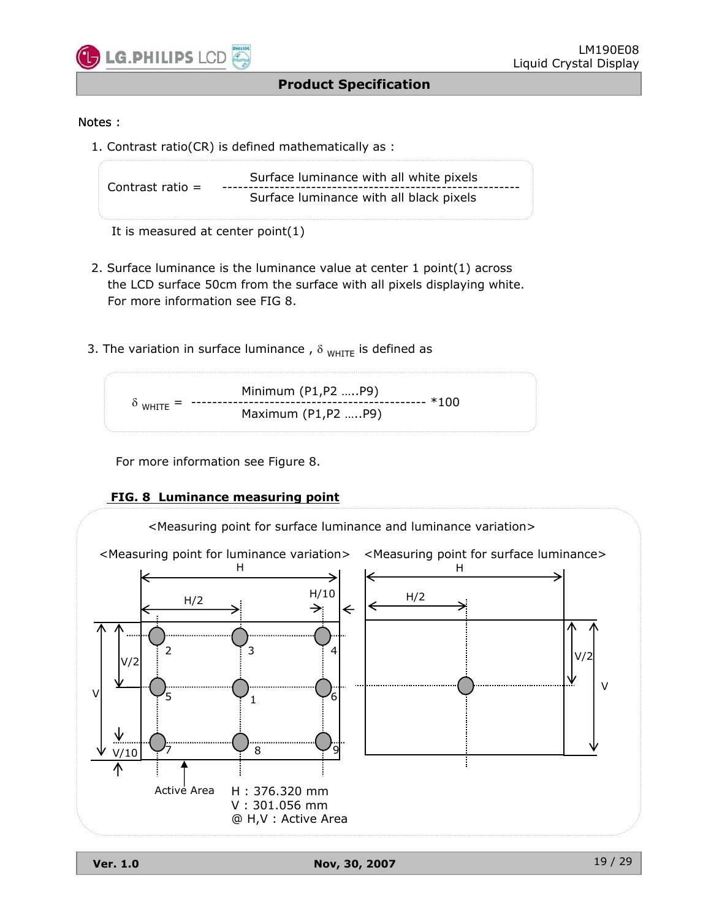

#### Notes :

1. Contrast ratio(CR) is defined mathematically as :

```
Surface luminance with all white pixels Contrast ratio = ---------------------------------------------------------
                        Surface luminance with all black pixels
```

```
It is measured at center point(1)
```
- 2. Surface luminance is the luminance value at center 1 point(1) across the LCD surface 50cm from the surface with all pixels displaying white. For more information see FIG 8.
- 3. The variation in surface luminance,  $\delta_{WHITE}$  is defined as

Minimum (P1,P2 …..P9) G WHITE = --------------------------------------------- \*100 Maximum (P1,P2 …..P9)

For more information see Figure 8.

#### **FIG. 8 Luminance measuring point**

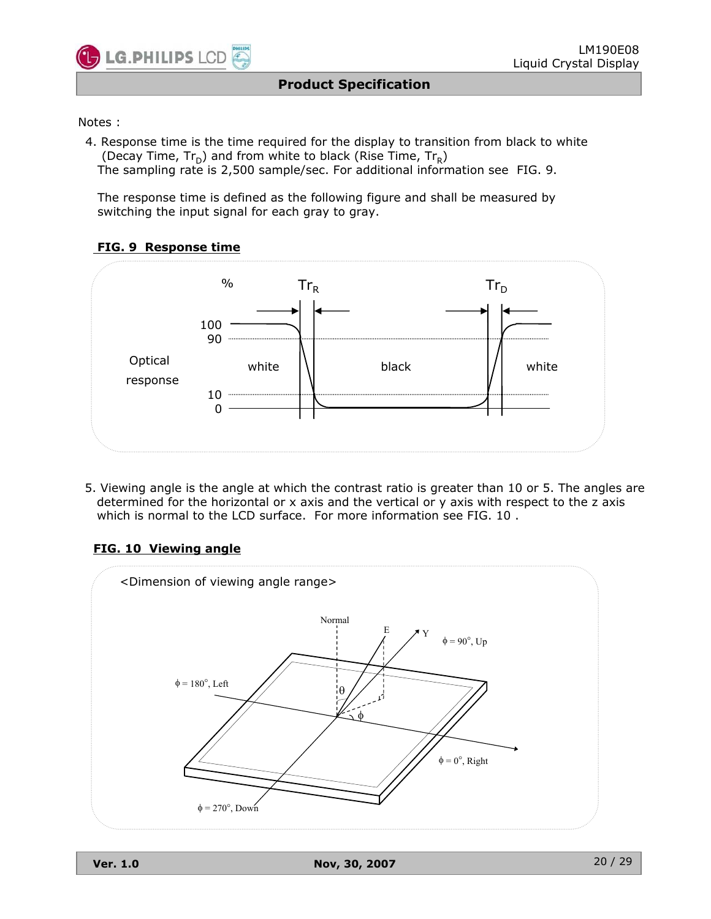

#### Notes :

4. Response time is the time required for the display to transition from black to white (Decay Time,  $Tr_D$ ) and from white to black (Rise Time,  $Tr_R$ ) The sampling rate is 2,500 sample/sec. For additional information see FIG. 9.

The response time is defined as the following figure and shall be measured by switching the input signal for each gray to gray.

#### **FIG. 9 Response time**



5. Viewing angle is the angle at which the contrast ratio is greater than 10 or 5. The angles are determined for the horizontal or x axis and the vertical or y axis with respect to the z axis which is normal to the LCD surface. For more information see FIG. 10 .

#### **FIG. 10 Viewing angle**

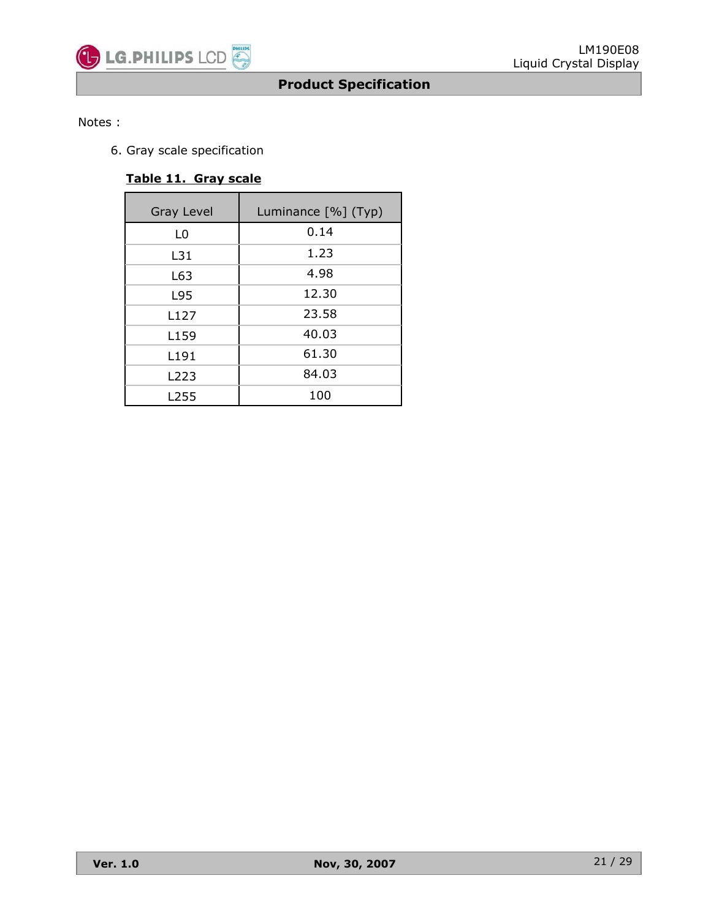#### Notes :

6. Gray scale specification

### **Table 11. Gray scale**

| Gray Level       | Luminance [%] (Typ) |
|------------------|---------------------|
| L0               | 0.14                |
| L31              | 1.23                |
| L63              | 4.98                |
| L95              | 12.30               |
| L <sub>127</sub> | 23.58               |
| L <sub>159</sub> | 40.03               |
| L191             | 61.30               |
| L223             | 84.03               |
| L255             | 100                 |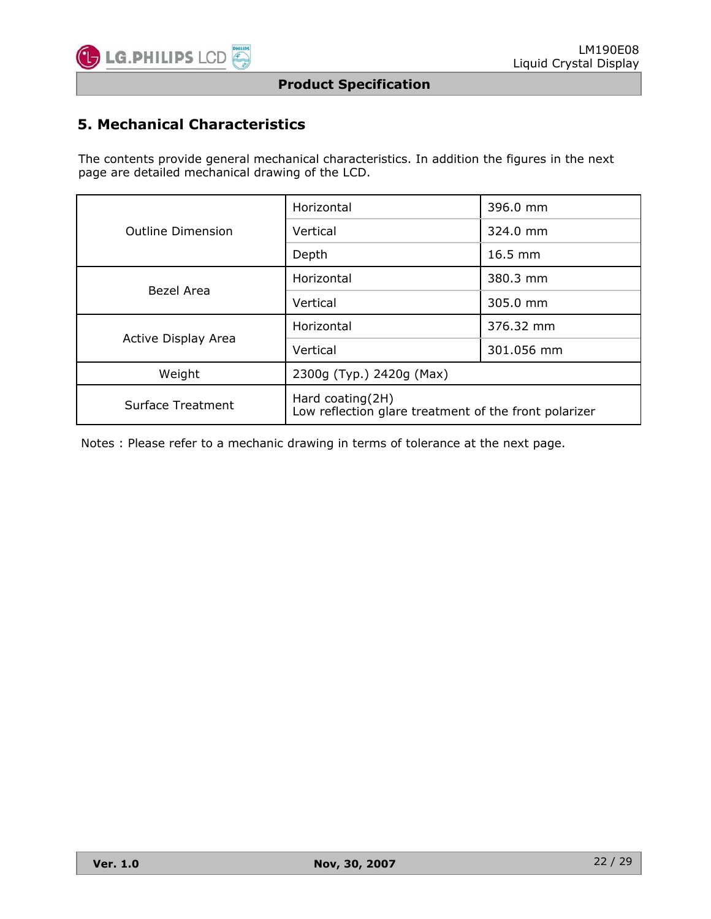

# **5. Mechanical Characteristics**

The contents provide general mechanical characteristics. In addition the figures in the next page are detailed mechanical drawing of the LCD.

|                          | Horizontal                                                                | 396.0 mm   |  |  |  |  |
|--------------------------|---------------------------------------------------------------------------|------------|--|--|--|--|
| <b>Outline Dimension</b> | Vertical                                                                  | 324.0 mm   |  |  |  |  |
|                          | Depth                                                                     | $16.5$ mm  |  |  |  |  |
| Bezel Area               | Horizontal                                                                | 380.3 mm   |  |  |  |  |
|                          | Vertical                                                                  | 305.0 mm   |  |  |  |  |
| Active Display Area      | Horizontal                                                                | 376.32 mm  |  |  |  |  |
|                          | Vertical                                                                  | 301.056 mm |  |  |  |  |
| Weight                   | 2300g (Typ.) 2420g (Max)                                                  |            |  |  |  |  |
| <b>Surface Treatment</b> | Hard coating(2H)<br>Low reflection glare treatment of the front polarizer |            |  |  |  |  |

Notes : Please refer to a mechanic drawing in terms of tolerance at the next page.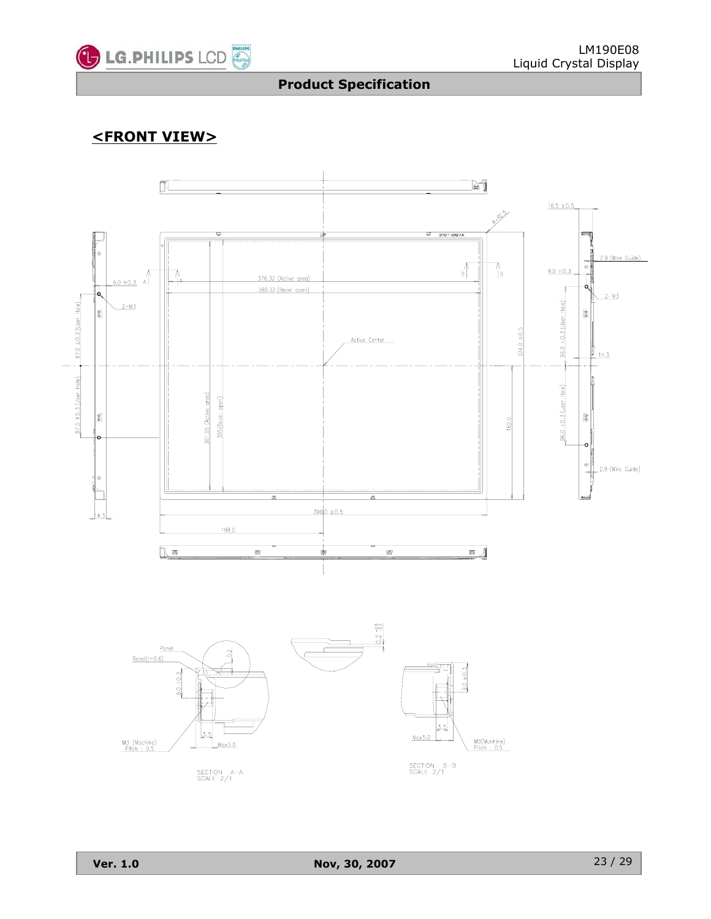

# **<FRONT VIEW>**

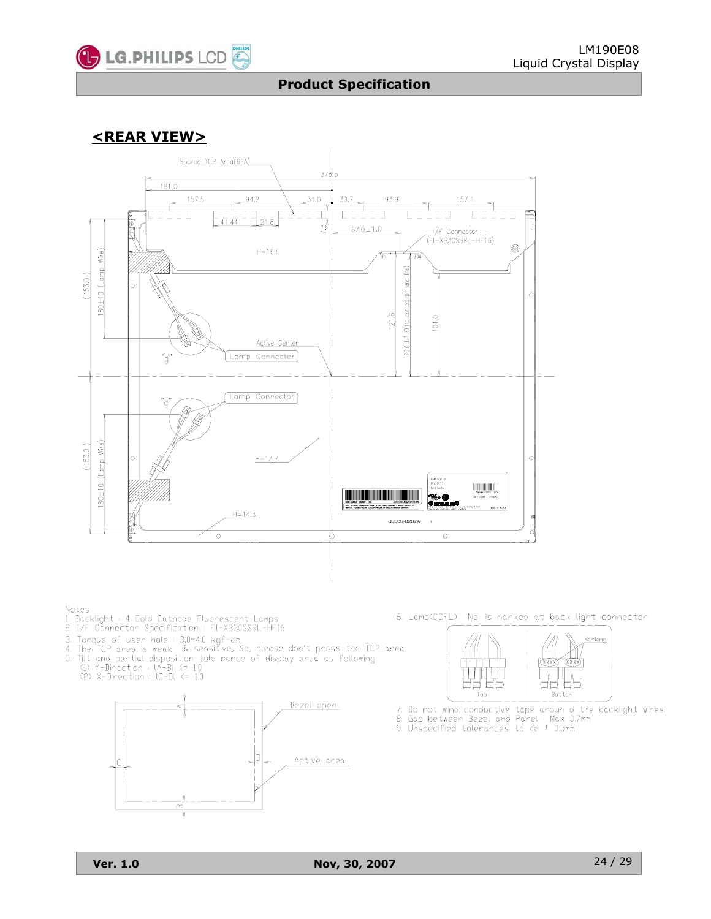

### **<REAR VIEW>**



#### Notes

- 1.<br>1. Backlight : 4 Cold Cathode Fluorescent Lamps.<br>2. I/F Connector Specification : FI-XB30SSRL-HF16
- 
- 
- 3. Torque of user hole : 3.0-4.0 kgf-cm<br>3. Torque of user hole : 3.0-4.0 kgf-cm<br>4. The TCP area is weak & sensitive, So, please don't press the TCP area.<br>5. Tilt and partial disposition tole rance of display area as follow
- - $(2)$  X-Direction :  $IC-DI \leq 1.0$



6. Lamp(CCFL) No. is marked at back light connector



7. Do not wind conductive tape aroun d the backlight wires 8. Gap between Bezel and Panel: Max 0.7mm

9. Unspecified tolerances to be  $\pm$  0.5mm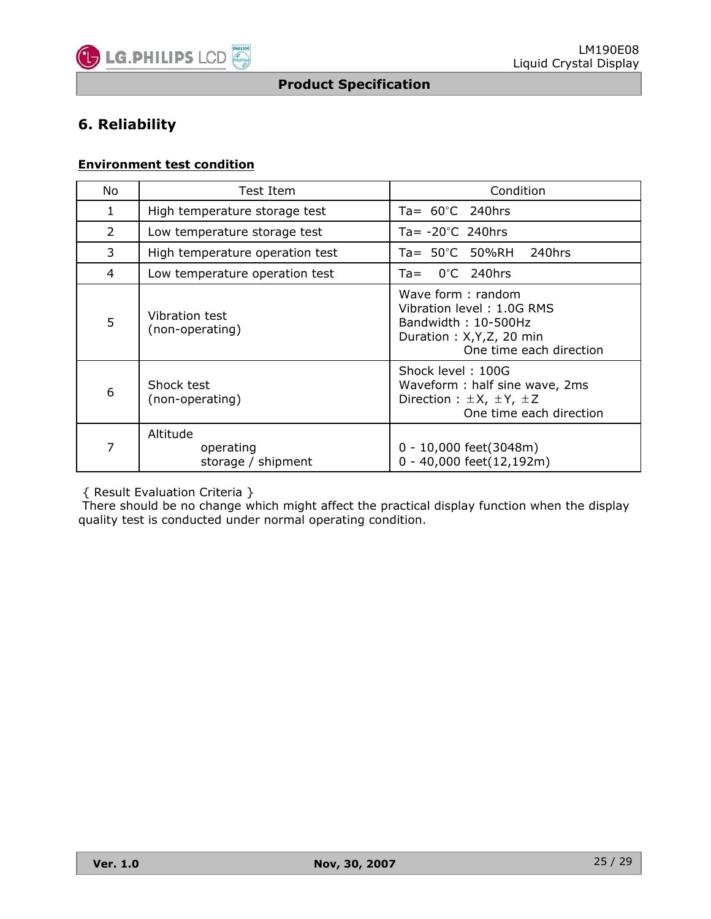

# **6. Reliability**

#### **Environment test condition**

| No.            | Test Item                                   | Condition                                                                                                                     |
|----------------|---------------------------------------------|-------------------------------------------------------------------------------------------------------------------------------|
| 1              | High temperature storage test               | Ta= $60^{\circ}$ C 240hrs                                                                                                     |
| $\overline{2}$ | Low temperature storage test                | Ta= $-20^{\circ}$ C 240hrs                                                                                                    |
| 3              | High temperature operation test             | Ta= 50°C 50%RH<br>240hrs                                                                                                      |
| 4              | Low temperature operation test              | $0^{\circ}$ C 240hrs<br>Ta=                                                                                                   |
| 5              | Vibration test<br>(non-operating)           | Wave form: random<br>Vibration level: 1.0G RMS<br>Bandwidth: 10-500Hz<br>Duration: X, Y, Z, 20 min<br>One time each direction |
| 6              | Shock test<br>(non-operating)               | Shock level: 100G<br>Waveform: half sine wave, 2ms<br>Direction : $\pm X$ , $\pm Y$ , $\pm Z$<br>One time each direction      |
| 7              | Altitude<br>operating<br>storage / shipment | 0 - 10,000 feet(3048m)<br>0 - 40,000 feet(12,192m)                                                                            |

{ Result Evaluation Criteria }

There should be no change which might affect the practical display function when the display quality test is conducted under normal operating condition.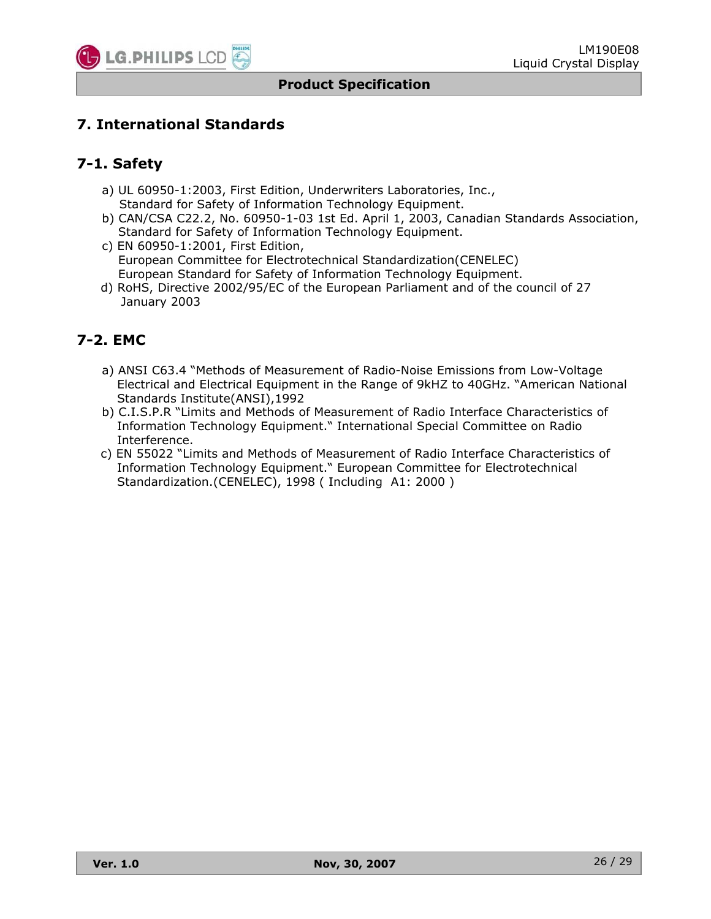

## **7. International Standards**

### **7-1. Safety**

- a) UL 60950-1:2003, First Edition, Underwriters Laboratories, Inc., Standard for Safety of Information Technology Equipment.
- b) CAN/CSA C22.2, No. 60950-1-03 1st Ed. April 1, 2003, Canadian Standards Association, Standard for Safety of Information Technology Equipment.
- c) EN 60950-1:2001, First Edition, European Committee for Electrotechnical Standardization(CENELEC) European Standard for Safety of Information Technology Equipment.
- d) RoHS, Directive 2002/95/EC of the European Parliament and of the council of 27 January 2003

### **7-2. EMC**

- a) ANSI C63.4 "Methods of Measurement of Radio-Noise Emissions from Low-Voltage Electrical and Electrical Equipment in the Range of 9kHZ to 40GHz. "American National Standards Institute(ANSI),1992
- b) C.I.S.P.R "Limits and Methods of Measurement of Radio Interface Characteristics of Information Technology Equipment." International Special Committee on Radio Interference.
- c) EN 55022 "Limits and Methods of Measurement of Radio Interface Characteristics of Information Technology Equipment." European Committee for Electrotechnical Standardization.(CENELEC), 1998 ( Including A1: 2000 )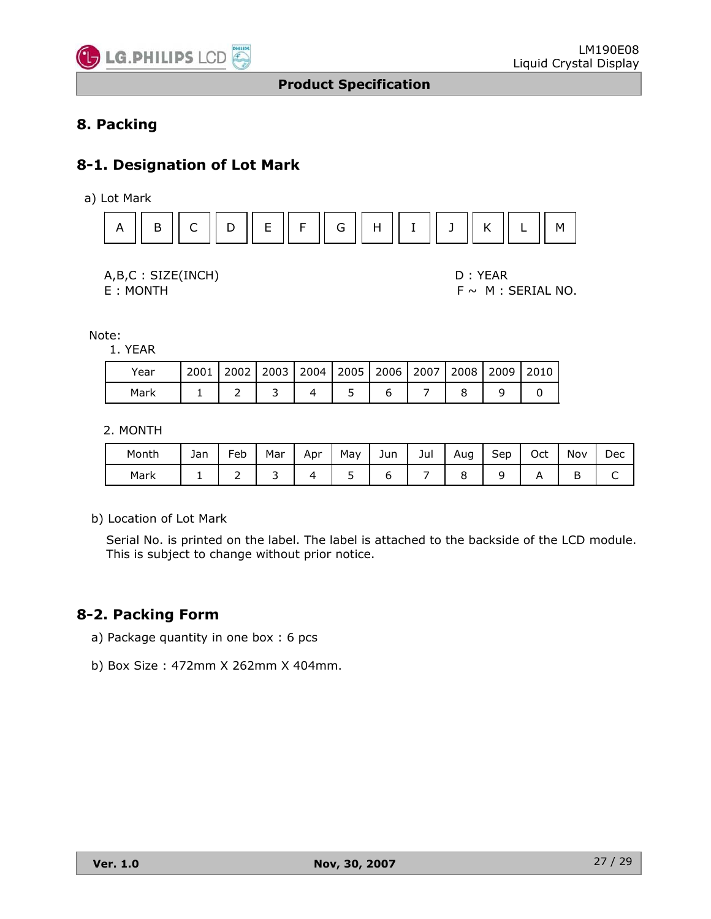

# **8. Packing**

## **8-1. Designation of Lot Mark**

a) Lot Mark





 $E : MONTH$   $F ~ M : SERIAL NO.$ 

Note:

1. YEAR

| Year |  |  | 2001   2002   2003   2004   2005   2006   2007   2008   2009   2010 |  |  |
|------|--|--|---------------------------------------------------------------------|--|--|
| Mark |  |  |                                                                     |  |  |

2. MONTH

| Month | Jan | Feb | Mar | Apr | May                   | Jun | Jul | Aug<br>۔ | $\overline{\phantom{0}}$<br>Sep | Oct | Nov | Dec |
|-------|-----|-----|-----|-----|-----------------------|-----|-----|----------|---------------------------------|-----|-----|-----|
| Mark  |     | -   |     |     | $\tilde{\phantom{a}}$ |     |     |          |                                 |     | ້   | ๛   |

b) Location of Lot Mark

Serial No. is printed on the label. The label is attached to the backside of the LCD module. This is subject to change without prior notice.

## **8-2. Packing Form**

- a) Package quantity in one box : 6 pcs
- b) Box Size : 472mm X 262mm X 404mm.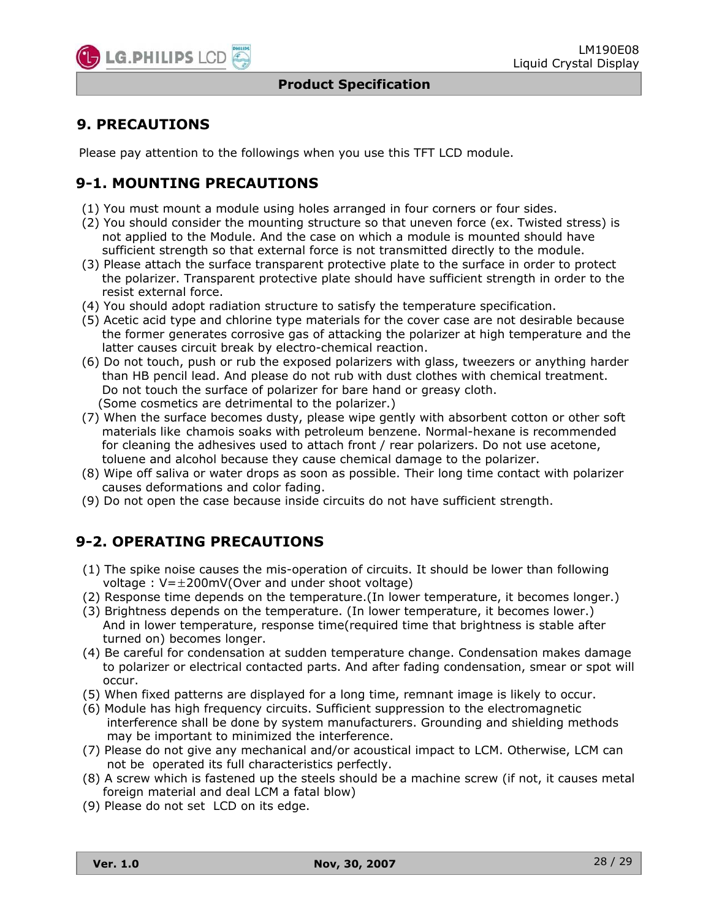

### **9. PRECAUTIONS**

Please pay attention to the followings when you use this TFT LCD module.

# **9-1. MOUNTING PRECAUTIONS**

- (1) You must mount a module using holes arranged in four corners or four sides.
- (2) You should consider the mounting structure so that uneven force (ex. Twisted stress) is not applied to the Module. And the case on which a module is mounted should have sufficient strength so that external force is not transmitted directly to the module.
- (3) Please attach the surface transparent protective plate to the surface in order to protect the polarizer. Transparent protective plate should have sufficient strength in order to the resist external force.
- (4) You should adopt radiation structure to satisfy the temperature specification.
- (5) Acetic acid type and chlorine type materials for the cover case are not desirable because the former generates corrosive gas of attacking the polarizer at high temperature and the latter causes circuit break by electro-chemical reaction.
- (6) Do not touch, push or rub the exposed polarizers with glass, tweezers or anything harder than HB pencil lead. And please do not rub with dust clothes with chemical treatment. Do not touch the surface of polarizer for bare hand or greasy cloth. (Some cosmetics are detrimental to the polarizer.)
- (7) When the surface becomes dusty, please wipe gently with absorbent cotton or other soft materials like chamois soaks with petroleum benzene. Normal-hexane is recommended for cleaning the adhesives used to attach front / rear polarizers. Do not use acetone, toluene and alcohol because they cause chemical damage to the polarizer.
- (8) Wipe off saliva or water drops as soon as possible. Their long time contact with polarizer causes deformations and color fading.
- (9) Do not open the case because inside circuits do not have sufficient strength.

# **9-2. OPERATING PRECAUTIONS**

- (1) The spike noise causes the mis-operation of circuits. It should be lower than following voltage :  $V=\pm 200$ mV(Over and under shoot voltage)
- (2) Response time depends on the temperature.(In lower temperature, it becomes longer.)
- (3) Brightness depends on the temperature. (In lower temperature, it becomes lower.) And in lower temperature, response time(required time that brightness is stable after turned on) becomes longer.
- (4) Be careful for condensation at sudden temperature change. Condensation makes damage to polarizer or electrical contacted parts. And after fading condensation, smear or spot will occur.
- (5) When fixed patterns are displayed for a long time, remnant image is likely to occur.
- (6) Module has high frequency circuits. Sufficient suppression to the electromagnetic interference shall be done by system manufacturers. Grounding and shielding methods may be important to minimized the interference.
- (7) Please do not give any mechanical and/or acoustical impact to LCM. Otherwise, LCM can not be operated its full characteristics perfectly.
- (8) A screw which is fastened up the steels should be a machine screw (if not, it causes metal foreign material and deal LCM a fatal blow)
- (9) Please do not set LCD on its edge.